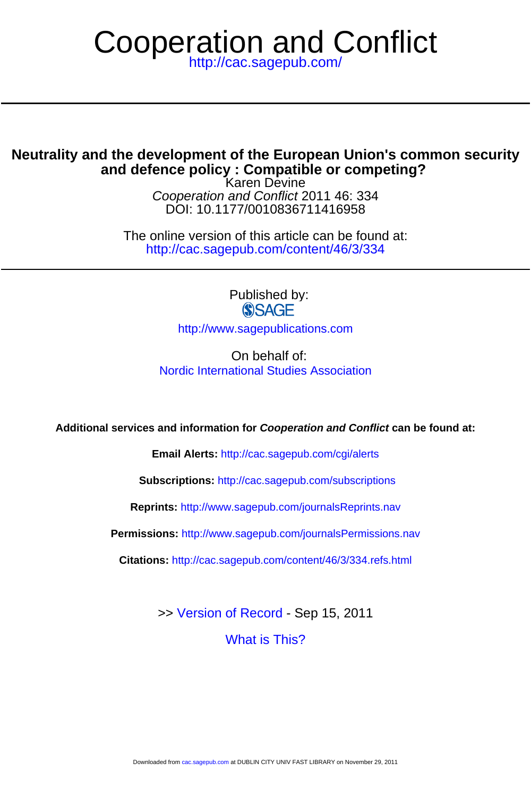# Cooperation and Conflict

<http://cac.sagepub.com/>

# **and defence policy : Compatible or competing? Neutrality and the development of the European Union's common security**

DOI: 10.1177/0010836711416958 Cooperation and Conflict 2011 46: 334 Karen Devine

<http://cac.sagepub.com/content/46/3/334> The online version of this article can be found at:

> Published by: **SSAGE**

<http://www.sagepublications.com>

On behalf of: [Nordic International Studies Association](http://www.sagepub.net/isa)

**Additional services and information for Cooperation and Conflict can be found at:**

**Email Alerts:** <http://cac.sagepub.com/cgi/alerts>

**Subscriptions:** <http://cac.sagepub.com/subscriptions>

**Reprints:** <http://www.sagepub.com/journalsReprints.nav>

**Permissions:** <http://www.sagepub.com/journalsPermissions.nav>

**Citations:** <http://cac.sagepub.com/content/46/3/334.refs.html>

>> [Version of Record -](http://cac.sagepub.com/content/46/3/334.full.pdf) Sep 15, 2011

[What is This?](http://online.sagepub.com/site/sphelp/vorhelp.xhtml)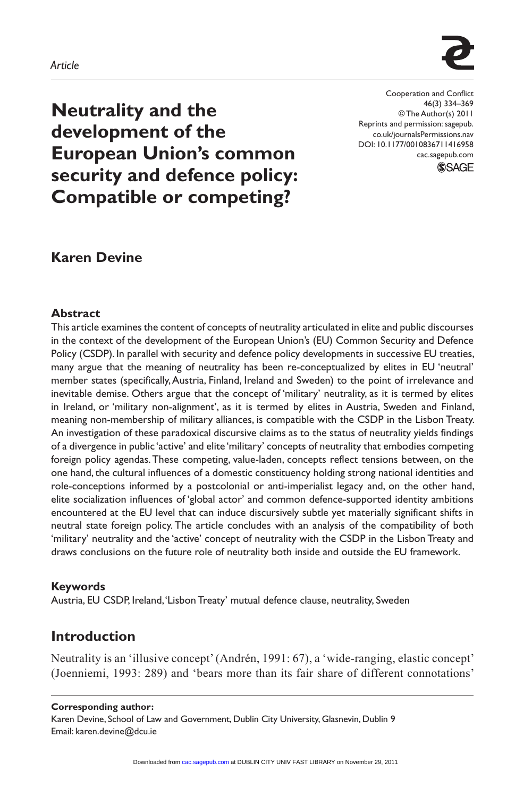

Cooperation and Conflict 46(3) 334–369 © The Author(s) 2011 Reprints and permission: sagepub. co.uk/journalsPermissions.nav DOI: 10.1177/0010836711416958 cac.sagepub.com **SSAGE** 

**Neutrality and the development of the European Union's common security and defence policy: Compatible or competing?**

**Karen Devine**

#### **Abstract**

This article examines the content of concepts of neutrality articulated in elite and public discourses in the context of the development of the European Union's (EU) Common Security and Defence Policy (CSDP). In parallel with security and defence policy developments in successive EU treaties, many argue that the meaning of neutrality has been re-conceptualized by elites in EU 'neutral' member states (specifically, Austria, Finland, Ireland and Sweden) to the point of irrelevance and inevitable demise. Others argue that the concept of 'military' neutrality, as it is termed by elites in Ireland, or 'military non-alignment', as it is termed by elites in Austria, Sweden and Finland, meaning non-membership of military alliances, is compatible with the CSDP in the Lisbon Treaty. An investigation of these paradoxical discursive claims as to the status of neutrality yields findings of a divergence in public 'active' and elite 'military' concepts of neutrality that embodies competing foreign policy agendas. These competing, value-laden, concepts reflect tensions between, on the one hand, the cultural influences of a domestic constituency holding strong national identities and role-conceptions informed by a postcolonial or anti-imperialist legacy and, on the other hand, elite socialization influences of 'global actor' and common defence-supported identity ambitions encountered at the EU level that can induce discursively subtle yet materially significant shifts in neutral state foreign policy. The article concludes with an analysis of the compatibility of both 'military' neutrality and the 'active' concept of neutrality with the CSDP in the Lisbon Treaty and draws conclusions on the future role of neutrality both inside and outside the EU framework.

#### **Keywords**

Austria, EU CSDP, Ireland, 'Lisbon Treaty' mutual defence clause, neutrality, Sweden

## **Introduction**

Neutrality is an 'illusive concept' (Andrén, 1991: 67), a 'wide-ranging, elastic concept' (Joenniemi, 1993: 289) and 'bears more than its fair share of different connotations'

#### **Corresponding author:**

Karen Devine, School of Law and Government, Dublin City University, Glasnevin, Dublin 9 Email: karen.devine@dcu.ie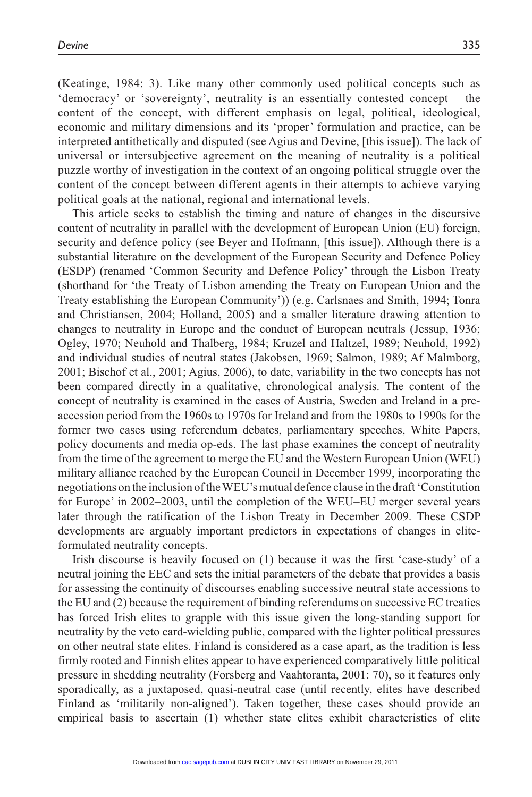(Keatinge, 1984: 3). Like many other commonly used political concepts such as 'democracy' or 'sovereignty', neutrality is an essentially contested concept – the content of the concept, with different emphasis on legal, political, ideological, economic and military dimensions and its 'proper' formulation and practice, can be interpreted antithetically and disputed (see Agius and Devine, [this issue]). The lack of universal or intersubjective agreement on the meaning of neutrality is a political puzzle worthy of investigation in the context of an ongoing political struggle over the content of the concept between different agents in their attempts to achieve varying political goals at the national, regional and international levels.

This article seeks to establish the timing and nature of changes in the discursive content of neutrality in parallel with the development of European Union (EU) foreign, security and defence policy (see Beyer and Hofmann, [this issue]). Although there is a substantial literature on the development of the European Security and Defence Policy (ESDP) (renamed 'Common Security and Defence Policy' through the Lisbon Treaty (shorthand for 'the Treaty of Lisbon amending the Treaty on European Union and the Treaty establishing the European Community')) (e.g. Carlsnaes and Smith, 1994; Tonra and Christiansen, 2004; Holland, 2005) and a smaller literature drawing attention to changes to neutrality in Europe and the conduct of European neutrals (Jessup, 1936; Ogley, 1970; Neuhold and Thalberg, 1984; Kruzel and Haltzel, 1989; Neuhold, 1992) and individual studies of neutral states (Jakobsen, 1969; Salmon, 1989; Af Malmborg, 2001; Bischof et al., 2001; Agius, 2006), to date, variability in the two concepts has not been compared directly in a qualitative, chronological analysis. The content of the concept of neutrality is examined in the cases of Austria, Sweden and Ireland in a preaccession period from the 1960s to 1970s for Ireland and from the 1980s to 1990s for the former two cases using referendum debates, parliamentary speeches, White Papers, policy documents and media op-eds. The last phase examines the concept of neutrality from the time of the agreement to merge the EU and the Western European Union (WEU) military alliance reached by the European Council in December 1999, incorporating the negotiations on the inclusion of the WEU's mutual defence clause in the draft 'Constitution for Europe' in 2002–2003, until the completion of the WEU–EU merger several years later through the ratification of the Lisbon Treaty in December 2009. These CSDP developments are arguably important predictors in expectations of changes in eliteformulated neutrality concepts.

Irish discourse is heavily focused on (1) because it was the first 'case-study' of a neutral joining the EEC and sets the initial parameters of the debate that provides a basis for assessing the continuity of discourses enabling successive neutral state accessions to the EU and (2) because the requirement of binding referendums on successive EC treaties has forced Irish elites to grapple with this issue given the long-standing support for neutrality by the veto card-wielding public, compared with the lighter political pressures on other neutral state elites. Finland is considered as a case apart, as the tradition is less firmly rooted and Finnish elites appear to have experienced comparatively little political pressure in shedding neutrality (Forsberg and Vaahtoranta, 2001: 70), so it features only sporadically, as a juxtaposed, quasi-neutral case (until recently, elites have described Finland as 'militarily non-aligned'). Taken together, these cases should provide an empirical basis to ascertain (1) whether state elites exhibit characteristics of elite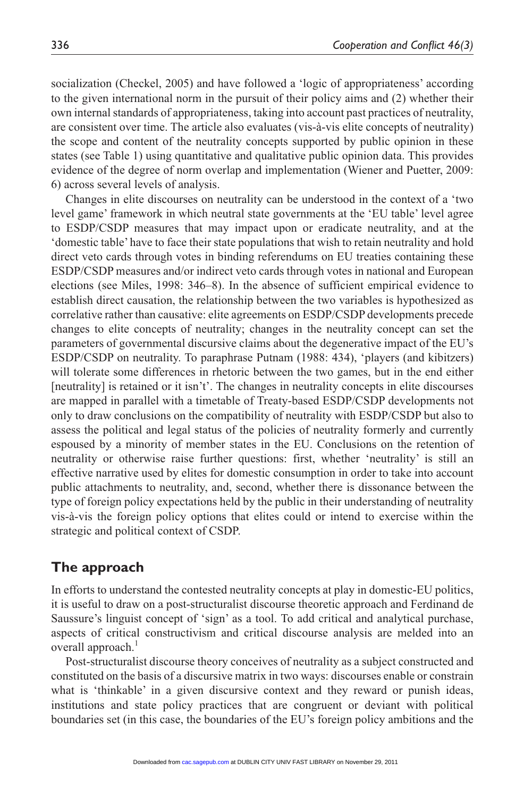socialization (Checkel, 2005) and have followed a 'logic of appropriateness' according to the given international norm in the pursuit of their policy aims and (2) whether their own internal standards of appropriateness, taking into account past practices of neutrality, are consistent over time. The article also evaluates (vis-à-vis elite concepts of neutrality) the scope and content of the neutrality concepts supported by public opinion in these states (see Table 1) using quantitative and qualitative public opinion data. This provides evidence of the degree of norm overlap and implementation (Wiener and Puetter, 2009: 6) across several levels of analysis.

Changes in elite discourses on neutrality can be understood in the context of a 'two level game' framework in which neutral state governments at the 'EU table' level agree to ESDP/CSDP measures that may impact upon or eradicate neutrality, and at the 'domestic table' have to face their state populations that wish to retain neutrality and hold direct veto cards through votes in binding referendums on EU treaties containing these ESDP/CSDP measures and/or indirect veto cards through votes in national and European elections (see Miles, 1998: 346–8). In the absence of sufficient empirical evidence to establish direct causation, the relationship between the two variables is hypothesized as correlative rather than causative: elite agreements on ESDP/CSDP developments precede changes to elite concepts of neutrality; changes in the neutrality concept can set the parameters of governmental discursive claims about the degenerative impact of the EU's ESDP/CSDP on neutrality. To paraphrase Putnam (1988: 434), 'players (and kibitzers) will tolerate some differences in rhetoric between the two games, but in the end either [neutrality] is retained or it isn't'. The changes in neutrality concepts in elite discourses are mapped in parallel with a timetable of Treaty-based ESDP/CSDP developments not only to draw conclusions on the compatibility of neutrality with ESDP/CSDP but also to assess the political and legal status of the policies of neutrality formerly and currently espoused by a minority of member states in the EU. Conclusions on the retention of neutrality or otherwise raise further questions: first, whether 'neutrality' is still an effective narrative used by elites for domestic consumption in order to take into account public attachments to neutrality, and, second, whether there is dissonance between the type of foreign policy expectations held by the public in their understanding of neutrality vis-à-vis the foreign policy options that elites could or intend to exercise within the strategic and political context of CSDP.

## **The approach**

In efforts to understand the contested neutrality concepts at play in domestic-EU politics, it is useful to draw on a post-structuralist discourse theoretic approach and Ferdinand de Saussure's linguist concept of 'sign' as a tool. To add critical and analytical purchase, aspects of critical constructivism and critical discourse analysis are melded into an overall approach.<sup>1</sup>

Post-structuralist discourse theory conceives of neutrality as a subject constructed and constituted on the basis of a discursive matrix in two ways: discourses enable or constrain what is 'thinkable' in a given discursive context and they reward or punish ideas, institutions and state policy practices that are congruent or deviant with political boundaries set (in this case, the boundaries of the EU's foreign policy ambitions and the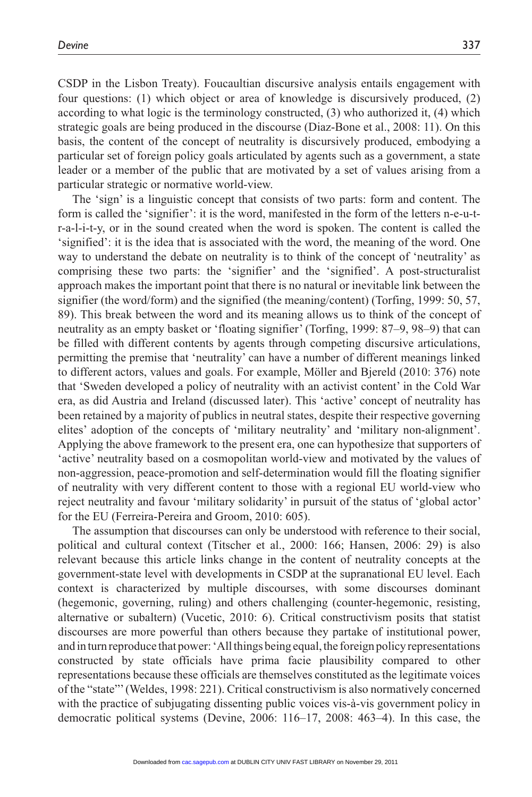CSDP in the Lisbon Treaty). Foucaultian discursive analysis entails engagement with four questions: (1) which object or area of knowledge is discursively produced, (2) according to what logic is the terminology constructed, (3) who authorized it, (4) which strategic goals are being produced in the discourse (Diaz-Bone et al., 2008: 11). On this basis, the content of the concept of neutrality is discursively produced, embodying a particular set of foreign policy goals articulated by agents such as a government, a state leader or a member of the public that are motivated by a set of values arising from a particular strategic or normative world-view.

The 'sign' is a linguistic concept that consists of two parts: form and content. The form is called the 'signifier': it is the word, manifested in the form of the letters n-e-u-tr-a-l-i-t-y, or in the sound created when the word is spoken. The content is called the 'signified': it is the idea that is associated with the word, the meaning of the word. One way to understand the debate on neutrality is to think of the concept of 'neutrality' as comprising these two parts: the 'signifier' and the 'signified'. A post-structuralist approach makes the important point that there is no natural or inevitable link between the signifier (the word/form) and the signified (the meaning/content) (Torfing, 1999: 50, 57, 89). This break between the word and its meaning allows us to think of the concept of neutrality as an empty basket or 'floating signifier' (Torfing, 1999: 87–9, 98–9) that can be filled with different contents by agents through competing discursive articulations, permitting the premise that 'neutrality' can have a number of different meanings linked to different actors, values and goals. For example, Möller and Bjereld (2010: 376) note that 'Sweden developed a policy of neutrality with an activist content' in the Cold War era, as did Austria and Ireland (discussed later). This 'active' concept of neutrality has been retained by a majority of publics in neutral states, despite their respective governing elites' adoption of the concepts of 'military neutrality' and 'military non-alignment'. Applying the above framework to the present era, one can hypothesize that supporters of 'active' neutrality based on a cosmopolitan world-view and motivated by the values of non-aggression, peace-promotion and self-determination would fill the floating signifier of neutrality with very different content to those with a regional EU world-view who reject neutrality and favour 'military solidarity' in pursuit of the status of 'global actor' for the EU (Ferreira-Pereira and Groom, 2010: 605).

The assumption that discourses can only be understood with reference to their social, political and cultural context (Titscher et al., 2000: 166; Hansen, 2006: 29) is also relevant because this article links change in the content of neutrality concepts at the government-state level with developments in CSDP at the supranational EU level. Each context is characterized by multiple discourses, with some discourses dominant (hegemonic, governing, ruling) and others challenging (counter-hegemonic, resisting, alternative or subaltern) (Vucetic, 2010: 6). Critical constructivism posits that statist discourses are more powerful than others because they partake of institutional power, and in turn reproduce that power: 'All things being equal, the foreign policy representations constructed by state officials have prima facie plausibility compared to other representations because these officials are themselves constituted as the legitimate voices of the "state"' (Weldes, 1998: 221). Critical constructivism is also normatively concerned with the practice of subjugating dissenting public voices vis-à-vis government policy in democratic political systems (Devine, 2006: 116–17, 2008: 463–4). In this case, the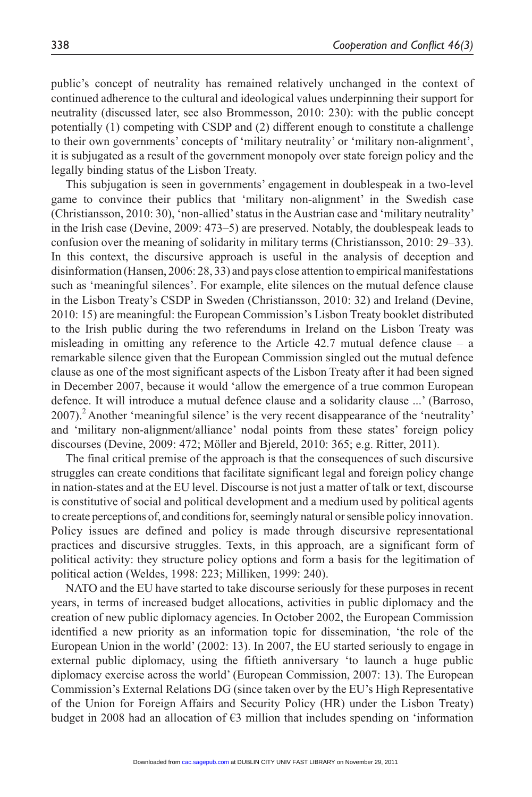public's concept of neutrality has remained relatively unchanged in the context of continued adherence to the cultural and ideological values underpinning their support for neutrality (discussed later, see also Brommesson, 2010: 230): with the public concept potentially (1) competing with CSDP and (2) different enough to constitute a challenge to their own governments' concepts of 'military neutrality' or 'military non-alignment', it is subjugated as a result of the government monopoly over state foreign policy and the legally binding status of the Lisbon Treaty.

This subjugation is seen in governments' engagement in doublespeak in a two-level game to convince their publics that 'military non-alignment' in the Swedish case (Christiansson, 2010: 30), 'non-allied' status in the Austrian case and 'military neutrality' in the Irish case (Devine, 2009: 473–5) are preserved. Notably, the doublespeak leads to confusion over the meaning of solidarity in military terms (Christiansson, 2010: 29–33). In this context, the discursive approach is useful in the analysis of deception and disinformation (Hansen, 2006: 28, 33) and pays close attention to empirical manifestations such as 'meaningful silences'. For example, elite silences on the mutual defence clause in the Lisbon Treaty's CSDP in Sweden (Christiansson, 2010: 32) and Ireland (Devine, 2010: 15) are meaningful: the European Commission's Lisbon Treaty booklet distributed to the Irish public during the two referendums in Ireland on the Lisbon Treaty was misleading in omitting any reference to the Article  $42.7$  mutual defence clause – a remarkable silence given that the European Commission singled out the mutual defence clause as one of the most significant aspects of the Lisbon Treaty after it had been signed in December 2007, because it would 'allow the emergence of a true common European defence. It will introduce a mutual defence clause and a solidarity clause ...' (Barroso, 2007).2 Another 'meaningful silence' is the very recent disappearance of the 'neutrality' and 'military non-alignment/alliance' nodal points from these states' foreign policy discourses (Devine, 2009: 472; Möller and Bjereld, 2010: 365; e.g. Ritter, 2011).

The final critical premise of the approach is that the consequences of such discursive struggles can create conditions that facilitate significant legal and foreign policy change in nation-states and at the EU level. Discourse is not just a matter of talk or text, discourse is constitutive of social and political development and a medium used by political agents to create perceptions of, and conditions for, seemingly natural or sensible policy innovation. Policy issues are defined and policy is made through discursive representational practices and discursive struggles. Texts, in this approach, are a significant form of political activity: they structure policy options and form a basis for the legitimation of political action (Weldes, 1998: 223; Milliken, 1999: 240).

NATO and the EU have started to take discourse seriously for these purposes in recent years, in terms of increased budget allocations, activities in public diplomacy and the creation of new public diplomacy agencies. In October 2002, the European Commission identified a new priority as an information topic for dissemination, 'the role of the European Union in the world' (2002: 13). In 2007, the EU started seriously to engage in external public diplomacy, using the fiftieth anniversary 'to launch a huge public diplomacy exercise across the world' (European Commission, 2007: 13). The European Commission's External Relations DG (since taken over by the EU's High Representative of the Union for Foreign Affairs and Security Policy (HR) under the Lisbon Treaty) budget in 2008 had an allocation of  $\epsilon$ 3 million that includes spending on 'information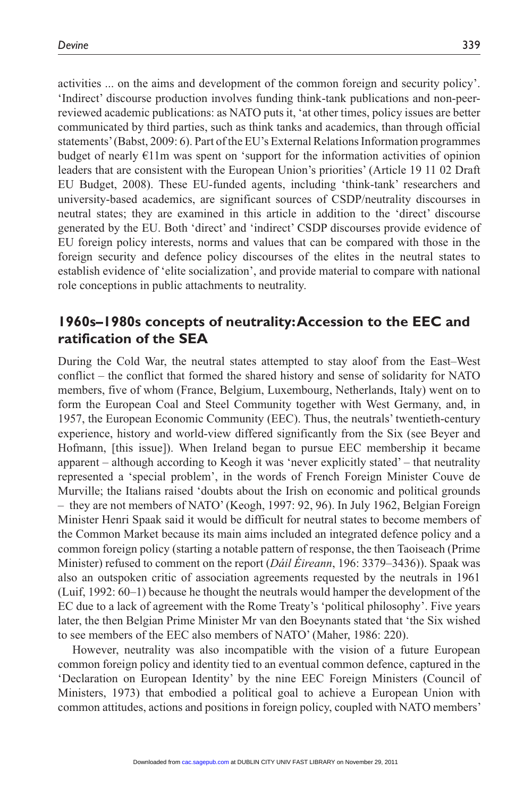activities ... on the aims and development of the common foreign and security policy'. 'Indirect' discourse production involves funding think-tank publications and non-peerreviewed academic publications: as NATO puts it, 'at other times, policy issues are better communicated by third parties, such as think tanks and academics, than through official statements' (Babst, 2009: 6). Part of the EU's External Relations Information programmes budget of nearly €11m was spent on 'support for the information activities of opinion leaders that are consistent with the European Union's priorities' (Article 19 11 02 Draft EU Budget, 2008). These EU-funded agents, including 'think-tank' researchers and university-based academics, are significant sources of CSDP/neutrality discourses in neutral states; they are examined in this article in addition to the 'direct' discourse generated by the EU. Both 'direct' and 'indirect' CSDP discourses provide evidence of EU foreign policy interests, norms and values that can be compared with those in the foreign security and defence policy discourses of the elites in the neutral states to establish evidence of 'elite socialization', and provide material to compare with national role conceptions in public attachments to neutrality.

## **1960s–1980s concepts of neutrality: Accession to the EEC and ratification of the SEA**

During the Cold War, the neutral states attempted to stay aloof from the East–West conflict – the conflict that formed the shared history and sense of solidarity for NATO members, five of whom (France, Belgium, Luxembourg, Netherlands, Italy) went on to form the European Coal and Steel Community together with West Germany, and, in 1957, the European Economic Community (EEC). Thus, the neutrals' twentieth-century experience, history and world-view differed significantly from the Six (see Beyer and Hofmann, [this issue]). When Ireland began to pursue EEC membership it became apparent – although according to Keogh it was 'never explicitly stated' – that neutrality represented a 'special problem', in the words of French Foreign Minister Couve de Murville; the Italians raised 'doubts about the Irish on economic and political grounds – they are not members of NATO' (Keogh, 1997: 92, 96). In July 1962, Belgian Foreign Minister Henri Spaak said it would be difficult for neutral states to become members of the Common Market because its main aims included an integrated defence policy and a common foreign policy (starting a notable pattern of response, the then Taoiseach (Prime Minister) refused to comment on the report (*Dáil Éireann*, 196: 3379–3436)). Spaak was also an outspoken critic of association agreements requested by the neutrals in 1961 (Luif, 1992: 60–1) because he thought the neutrals would hamper the development of the EC due to a lack of agreement with the Rome Treaty's 'political philosophy'. Five years later, the then Belgian Prime Minister Mr van den Boeynants stated that 'the Six wished to see members of the EEC also members of NATO' (Maher, 1986: 220).

However, neutrality was also incompatible with the vision of a future European common foreign policy and identity tied to an eventual common defence, captured in the 'Declaration on European Identity' by the nine EEC Foreign Ministers (Council of Ministers, 1973) that embodied a political goal to achieve a European Union with common attitudes, actions and positions in foreign policy, coupled with NATO members'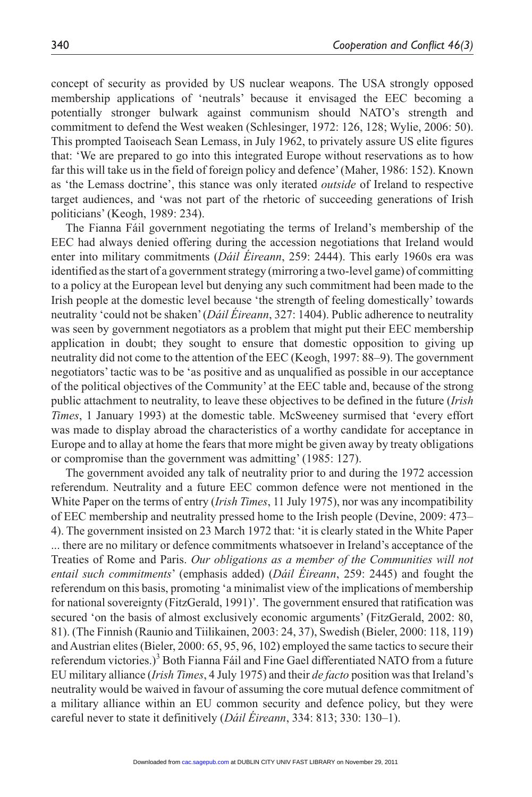concept of security as provided by US nuclear weapons. The USA strongly opposed membership applications of 'neutrals' because it envisaged the EEC becoming a potentially stronger bulwark against communism should NATO's strength and commitment to defend the West weaken (Schlesinger, 1972: 126, 128; Wylie, 2006: 50). This prompted Taoiseach Sean Lemass, in July 1962, to privately assure US elite figures that: 'We are prepared to go into this integrated Europe without reservations as to how far this will take us in the field of foreign policy and defence' (Maher, 1986: 152). Known as 'the Lemass doctrine', this stance was only iterated *outside* of Ireland to respective target audiences, and 'was not part of the rhetoric of succeeding generations of Irish politicians' (Keogh, 1989: 234).

The Fianna Fáil government negotiating the terms of Ireland's membership of the EEC had always denied offering during the accession negotiations that Ireland would enter into military commitments (*Dáil Éireann*, 259: 2444). This early 1960s era was identified as the start of a government strategy (mirroring a two-level game) of committing to a policy at the European level but denying any such commitment had been made to the Irish people at the domestic level because 'the strength of feeling domestically' towards neutrality 'could not be shaken' (*Dáil Éireann*, 327: 1404). Public adherence to neutrality was seen by government negotiators as a problem that might put their EEC membership application in doubt; they sought to ensure that domestic opposition to giving up neutrality did not come to the attention of the EEC (Keogh, 1997: 88–9). The government negotiators' tactic was to be 'as positive and as unqualified as possible in our acceptance of the political objectives of the Community' at the EEC table and, because of the strong public attachment to neutrality, to leave these objectives to be defined in the future (*Irish Times*, 1 January 1993) at the domestic table. McSweeney surmised that 'every effort was made to display abroad the characteristics of a worthy candidate for acceptance in Europe and to allay at home the fears that more might be given away by treaty obligations or compromise than the government was admitting' (1985: 127).

The government avoided any talk of neutrality prior to and during the 1972 accession referendum. Neutrality and a future EEC common defence were not mentioned in the White Paper on the terms of entry (*Irish Times*, 11 July 1975), nor was any incompatibility of EEC membership and neutrality pressed home to the Irish people (Devine, 2009: 473– 4). The government insisted on 23 March 1972 that: 'it is clearly stated in the White Paper ... there are no military or defence commitments whatsoever in Ireland's acceptance of the Treaties of Rome and Paris. *Our obligations as a member of the Communities will not entail such commitments*' (emphasis added) (*Dáil Éireann*, 259: 2445) and fought the referendum on this basis, promoting 'a minimalist view of the implications of membership for national sovereignty (FitzGerald, 1991)'. The government ensured that ratification was secured 'on the basis of almost exclusively economic arguments' (FitzGerald, 2002: 80, 81). (The Finnish (Raunio and Tiilikainen, 2003: 24, 37), Swedish (Bieler, 2000: 118, 119) and Austrian elites (Bieler, 2000: 65, 95, 96, 102) employed the same tactics to secure their referendum victories.)<sup>3</sup> Both Fianna Fáil and Fine Gael differentiated NATO from a future EU military alliance (*Irish Times*, 4 July 1975) and their *de facto* position was that Ireland's neutrality would be waived in favour of assuming the core mutual defence commitment of a military alliance within an EU common security and defence policy, but they were careful never to state it definitively (*Dáil Éireann*, 334: 813; 330: 130–1).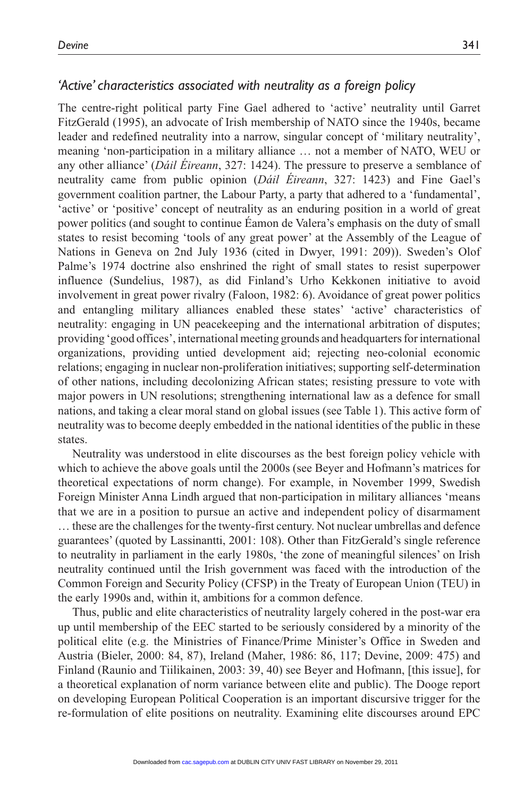## *'Active' characteristics associated with neutrality as a foreign policy*

The centre-right political party Fine Gael adhered to 'active' neutrality until Garret FitzGerald (1995), an advocate of Irish membership of NATO since the 1940s, became leader and redefined neutrality into a narrow, singular concept of 'military neutrality', meaning 'non-participation in a military alliance … not a member of NATO, WEU or any other alliance' (*Dáil Éireann*, 327: 1424). The pressure to preserve a semblance of neutrality came from public opinion (*Dáil Éireann*, 327: 1423) and Fine Gael's government coalition partner, the Labour Party, a party that adhered to a 'fundamental', 'active' or 'positive' concept of neutrality as an enduring position in a world of great power politics (and sought to continue Éamon de Valera's emphasis on the duty of small states to resist becoming 'tools of any great power' at the Assembly of the League of Nations in Geneva on 2nd July 1936 (cited in Dwyer, 1991: 209)). Sweden's Olof Palme's 1974 doctrine also enshrined the right of small states to resist superpower influence (Sundelius, 1987), as did Finland's Urho Kekkonen initiative to avoid involvement in great power rivalry (Faloon, 1982: 6). Avoidance of great power politics and entangling military alliances enabled these states' 'active' characteristics of neutrality: engaging in UN peacekeeping and the international arbitration of disputes; providing 'good offices', international meeting grounds and headquarters for international organizations, providing untied development aid; rejecting neo-colonial economic relations; engaging in nuclear non-proliferation initiatives; supporting self-determination of other nations, including decolonizing African states; resisting pressure to vote with major powers in UN resolutions; strengthening international law as a defence for small nations, and taking a clear moral stand on global issues (see Table 1). This active form of neutrality was to become deeply embedded in the national identities of the public in these states.

Neutrality was understood in elite discourses as the best foreign policy vehicle with which to achieve the above goals until the 2000s (see Beyer and Hofmann's matrices for theoretical expectations of norm change). For example, in November 1999, Swedish Foreign Minister Anna Lindh argued that non-participation in military alliances 'means that we are in a position to pursue an active and independent policy of disarmament … these are the challenges for the twenty-first century. Not nuclear umbrellas and defence guarantees' (quoted by Lassinantti, 2001: 108). Other than FitzGerald's single reference to neutrality in parliament in the early 1980s, 'the zone of meaningful silences' on Irish neutrality continued until the Irish government was faced with the introduction of the Common Foreign and Security Policy (CFSP) in the Treaty of European Union (TEU) in the early 1990s and, within it, ambitions for a common defence.

Thus, public and elite characteristics of neutrality largely cohered in the post-war era up until membership of the EEC started to be seriously considered by a minority of the political elite (e.g. the Ministries of Finance/Prime Minister's Office in Sweden and Austria (Bieler, 2000: 84, 87), Ireland (Maher, 1986: 86, 117; Devine, 2009: 475) and Finland (Raunio and Tiilikainen, 2003: 39, 40) see Beyer and Hofmann, [this issue], for a theoretical explanation of norm variance between elite and public). The Dooge report on developing European Political Cooperation is an important discursive trigger for the re-formulation of elite positions on neutrality. Examining elite discourses around EPC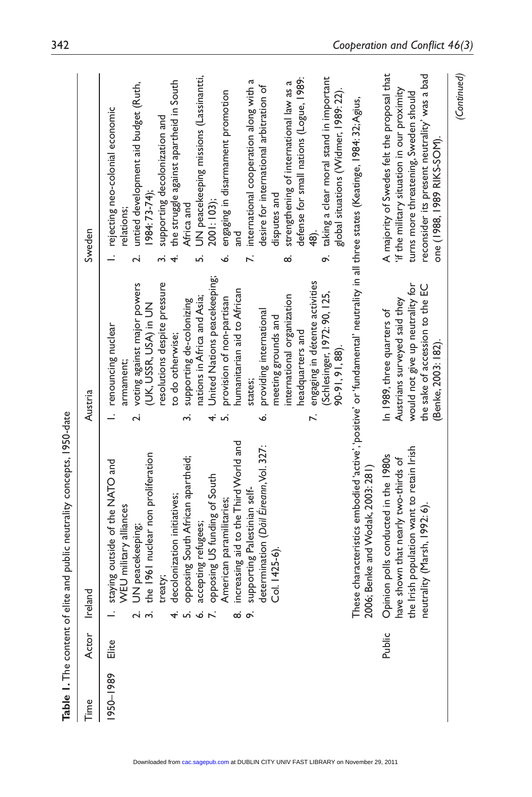| Time      | Actor  | Ireland                                                                      | Austria                                                                | Sweden                                                                                                                                                              |
|-----------|--------|------------------------------------------------------------------------------|------------------------------------------------------------------------|---------------------------------------------------------------------------------------------------------------------------------------------------------------------|
| 1950-1989 | Elite  | staying outside of the NATO and<br>WEU military alliances                    | 1. renouncing nuclear<br>armament;                                     | rejecting neo-colonial economic<br>relations;<br>$\overline{a}$                                                                                                     |
|           |        | the 1961 nuclear non proliferation<br>UN peacekeeping;<br>പ് ന്              | voting against major powers<br>(UK, USSR, USA) in UN<br>$\overline{N}$ | untied development aid budget (Ruth,<br>(984: 73-74)<br>$\overline{\mathbf{c}}$                                                                                     |
|           |        | treaty;                                                                      | resolutions despite pressure                                           | supporting decolonization and<br>w.                                                                                                                                 |
|           |        | decolonization initiatives;                                                  | to do otherwise;                                                       | the struggle against apartheid in South<br>4.                                                                                                                       |
|           |        | opposing South African apartheid;<br>$4.56$ $6.5$                            | supporting de-colonizing<br>ന്                                         | Africa and                                                                                                                                                          |
|           |        | accepting refugees;                                                          | nations in Africa and Asia;                                            | UN peacekeeping missions (Lassinantti,<br>Loj                                                                                                                       |
|           |        | opposing US funding of South                                                 | United Nations peacekeeping;<br>$\vec{r}$                              | 2001:103);                                                                                                                                                          |
|           |        | American paramilitaries;                                                     | provision of non-partisan<br>ഛ                                         | engaging in disarmament promotion<br>Ġ                                                                                                                              |
|           |        | increasing aid to the Third World and<br>ထံတဲ                                | humanitarian aid to African                                            | nd<br>an                                                                                                                                                            |
|           |        | supporting Palestinian self-                                                 | states;                                                                | international cooperation along with a<br>$\ddot{\sim}$                                                                                                             |
|           |        | determination (Dáil Eireann, Vol. 327:                                       | providing international<br>Ġ                                           | desire for international arbitration of                                                                                                                             |
|           |        | Col. 1425-6).                                                                | meeting grounds and                                                    | disputes and                                                                                                                                                        |
|           |        |                                                                              | international organization                                             | strengthening of international law as a<br>ထဲ                                                                                                                       |
|           |        |                                                                              | headquarters and                                                       | defense for small nations (Logue, 1989:                                                                                                                             |
|           |        |                                                                              | engaging in détente activities<br>$\ddot{\sim}$                        |                                                                                                                                                                     |
|           |        |                                                                              | (Schlesinger, 1972: 90, 125,                                           | taking a clear moral stand in important<br>o:                                                                                                                       |
|           |        |                                                                              | 90-91, 91, 88)                                                         | global situations (Widmer, 1989: 22).                                                                                                                               |
|           |        |                                                                              |                                                                        | These characteristics embodied 'active', 'positive' or 'fundamental' neutrality in all three states (Keatinge, 1984: 32;Agius,<br>2006; Benke and Wodak, 2003: 281) |
|           | Public |                                                                              | In 1989, three quarters of                                             | A majority of Swedes felt the proposal that                                                                                                                         |
|           |        | Opinion polls conducted in the 1980s<br>have shown that nearly two-thirds of | Austrians surveyed said they                                           | 'if the military situation in our proximity                                                                                                                         |
|           |        | the Irish population want to retain Irish                                    | would not give up neutrality for                                       | turns more threatening, Sweden should                                                                                                                               |
|           |        | neutrality (Marsh, 1992: 6).                                                 | the sake of accession to the EC<br>(Benke, 2003: 182).                 | reconsider its present neutrality' was a bad<br>one (1988, 1989 RIKS-SOM).                                                                                          |
|           |        |                                                                              |                                                                        | (Continued)                                                                                                                                                         |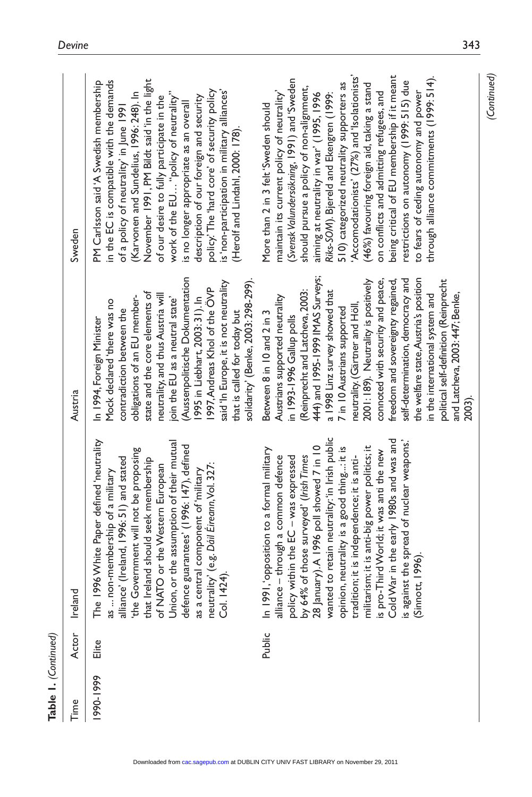| Table 1. (Continued) |        |                                                                                                                                                                                                                                                                                                                                                                                                                                  |                                                                                                                                                                                                                                                                                                                                                                                                                                                                                                                                                                                             |                                                                                                                                                                                                                                                                                                                                                                                                                                                                                                                                                                                                                                           |
|----------------------|--------|----------------------------------------------------------------------------------------------------------------------------------------------------------------------------------------------------------------------------------------------------------------------------------------------------------------------------------------------------------------------------------------------------------------------------------|---------------------------------------------------------------------------------------------------------------------------------------------------------------------------------------------------------------------------------------------------------------------------------------------------------------------------------------------------------------------------------------------------------------------------------------------------------------------------------------------------------------------------------------------------------------------------------------------|-------------------------------------------------------------------------------------------------------------------------------------------------------------------------------------------------------------------------------------------------------------------------------------------------------------------------------------------------------------------------------------------------------------------------------------------------------------------------------------------------------------------------------------------------------------------------------------------------------------------------------------------|
| Time                 | Actor  | Ireland                                                                                                                                                                                                                                                                                                                                                                                                                          | Austria                                                                                                                                                                                                                                                                                                                                                                                                                                                                                                                                                                                     | Sweden                                                                                                                                                                                                                                                                                                                                                                                                                                                                                                                                                                                                                                    |
| 990-1999             | Elite  | The 1996 White Paper defined 'neutrality<br>alliance' (Ireland, 1996: 51) and stated<br>'the Government will not be proposing<br>that Ireland should seek membership<br>of NATO or the Western European<br>Union, or the assumption of their mutual<br>defence guarantees' (1996: 147), d<br>neutrality' (e.g. Dáil Éireann, Vol. 327:<br>Col. 1424).<br>as a central component of 'military<br>as  non-membership of a military | (Aussenpolitische Dokumentation<br>solidarity' (Benke, 2003: 298-299).<br>said 'In Europe, it is not neutrality<br>1997, Andreas Khol of the OVP<br>state and the core elements of<br>neutrality, and thus Austria will<br>obligations of an EU member-<br>995 in Liebhart, 2003: 31). In<br>join the EU as a neutral state'<br>Mock declared 'there was no<br>contradiction between the<br>that is called for today but<br>In 1994, Foreign Minister                                                                                                                                       | November 1991, PM Bildt said in the light<br>in the EC is compatible with the demands<br>PM Carlsson said'A Swedish membership<br>policy. The 'hard core' of security policy<br>is 'non-participation in military alliances'<br>(Karvonen and Sundelius, 1996: 248). In<br>work of the EU "policy of neutrality"<br>description of our foreign and security<br>of our desire to fully participate in the<br>is no longer appropriate as an overall<br>of a policy of neutrality' in June 1991<br>(Herolf and Lindahl, 2000: 178).                                                                                                         |
|                      | Public | policy within the EC – was expressed<br>by 64% of those surveyed' (Irish Times<br>28 January).A 1996 poll showed 7 in 10<br>wanted to retain neutrality:'in Irish public<br>opinion, neutrality is a good thingit is<br>tradition; it is i<br>In 1991, opposition to a formal military<br>alliance - through a common defence                                                                                                    | 444) and 1995-1999 IMAS Surveys;<br>the welfare state, Austria's position<br>self-determination, democracy and<br>connoted with security and peace,<br>political self-definition (Reinprecht<br>2001:189). Neutrality is positively<br>freedom and sovereignty regained,<br>(Reinprecht and Latcheva, 2003:<br>a 1998 Linz survey showed that<br>and Latcheva, 2003: 447; Benke,<br>in the international system and<br>Austrians supported neutrality<br>neutrality. (Gärtner and Höll,<br>7 in 10 Austrians supported<br>Between 8 in 10 and 2 in 3<br>in 1993-1996 Gallup polls<br>2003). | Accomodationists' (27%) and 'Isolationists'<br>being critical of EU membership if it meant<br>through alliance commitments (1999: 514).<br>(Svensk Valundersökning, 1991) and 'Sweden<br>restrictions on autonomy (1999: 515) due<br>510) categorized neutrality supporters as<br>(46%) favouring foreign aid, taking a stand<br>should pursue a policy of non-alignment,<br>to fears of ceding autonomy and power<br>maintain its current policy of neutrality'<br>on conflicts and admitting refugees, and<br>aiming at neutrality in war' (1995, 1996<br>Riks-SOM). Bjereld and Ekengren (199:<br>More than 2 in 3 felt 'Sweden should |

*(Continued)*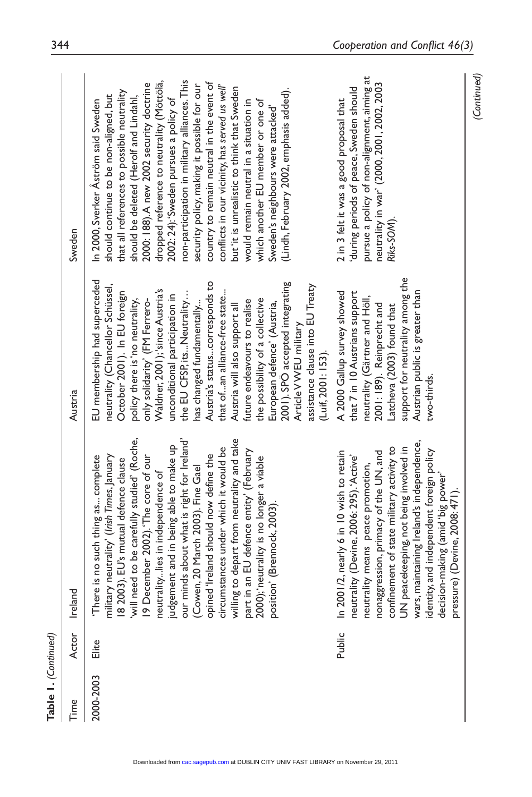| <b>Table 1.</b> (Continued) |        |                                                                                                                                                                                                                                                                                                                                                                                                                                    |                                                                                                                                                                                                                                                                                                                                                                                                                                                                                                                                                                                                                                          |                                                                                                                                                                                                                                                                                                                                                                                                                                                                                                                                                                                                                                                                                                                        |
|-----------------------------|--------|------------------------------------------------------------------------------------------------------------------------------------------------------------------------------------------------------------------------------------------------------------------------------------------------------------------------------------------------------------------------------------------------------------------------------------|------------------------------------------------------------------------------------------------------------------------------------------------------------------------------------------------------------------------------------------------------------------------------------------------------------------------------------------------------------------------------------------------------------------------------------------------------------------------------------------------------------------------------------------------------------------------------------------------------------------------------------------|------------------------------------------------------------------------------------------------------------------------------------------------------------------------------------------------------------------------------------------------------------------------------------------------------------------------------------------------------------------------------------------------------------------------------------------------------------------------------------------------------------------------------------------------------------------------------------------------------------------------------------------------------------------------------------------------------------------------|
| Time                        | Actor  | Ireland                                                                                                                                                                                                                                                                                                                                                                                                                            | Austria                                                                                                                                                                                                                                                                                                                                                                                                                                                                                                                                                                                                                                  | Sweden                                                                                                                                                                                                                                                                                                                                                                                                                                                                                                                                                                                                                                                                                                                 |
| 2000-2003                   | Elite  | "There is no such thing as complete<br>military neutrality' (Irish Times, January<br>is a 2003). EU's mutual defence clause<br>will need to be carefully studied' (Roche,<br>19 December 2002). "The core of our<br>neutralitylies in<br>part in an EU defence entity' (February<br>2000); 'neutrality is no longer a viable<br>position' (Brennock, 2003).                                                                        | EU membership had superceded<br>Austria's statuscorresponds to<br>2001). SPO accepted integrating<br>neutrality (Chancellor Schüssel,<br>assistance clause into EU Treaty<br>Waldner, 2001); 'since Austria's<br>October 2001). In EU foreign<br>that ofan alliance-free state<br>the EU CFSP, its Neutrality<br>unconditional participation in<br>the possibility of a collective<br>policy there is 'no neutrality,<br>only solidarity' (FM Ferrero-<br>future endeavours to realise<br>European defence' (Austria,<br>Austria will also support all<br>has changed fundamentally<br>Article VWEU military<br>$(L$ uif, 200 $1:153$ ). | non-participation in military alliances. This<br>country to remain neutral in the event of<br>dropped reference to neutrality (Möttölä,<br>2000: 188). A new 2002 security doctrine<br>security policy, making it possible for our<br>conflicts in our vicinity, has served us well'<br>but 'it is unrealistic to think that Sweden<br>(Lindh, February 2002, emphasis added).<br>that all references to possible neutrality<br>should continue to be non-aligned, but<br>should be deleted (Herolf and Lindahl,<br>2002: 24): 'Sweden pursues a policy of<br>In 2000, Sverker Åström said Sweden<br>would remain neutral in a situation in<br>which another EU member or one of<br>Sweden's neighbours were attacked' |
|                             | Public | confinement of state military activity to<br>UN peacekeeping, not being involved in<br>wars, maintaining Ireland's independence,<br>identity, and independent foreign policy<br>decision-making (amid 'big power'<br>2001/2, nearly 6 in 10 wish to retain<br>nonaggression, primacy of the UN, and<br>neutrality (Devine, 2006: 295). 'Active'<br>neutrality means peace promotion,<br>pressure) (Devine, 2008: 471).<br>$\equiv$ | support for neutrality among the<br>A 2000 Gallup survey showed<br>Austrian public is greater than<br>that 7 in 10 Austrians support<br>neutrality (Gärtner and Höll,<br>2001:189). Reinprecht and<br>Latcheva (2003) found that<br>two-thirds.                                                                                                                                                                                                                                                                                                                                                                                          | pursue a policy of non-alignment, aiming at<br>neutrality in war' (2000, 2001, 2002, 2003<br>during periods of peace, Sweden should<br>2 in 3 felt it was a good proposal that<br>Riks-SOM).                                                                                                                                                                                                                                                                                                                                                                                                                                                                                                                           |

*(Continued)*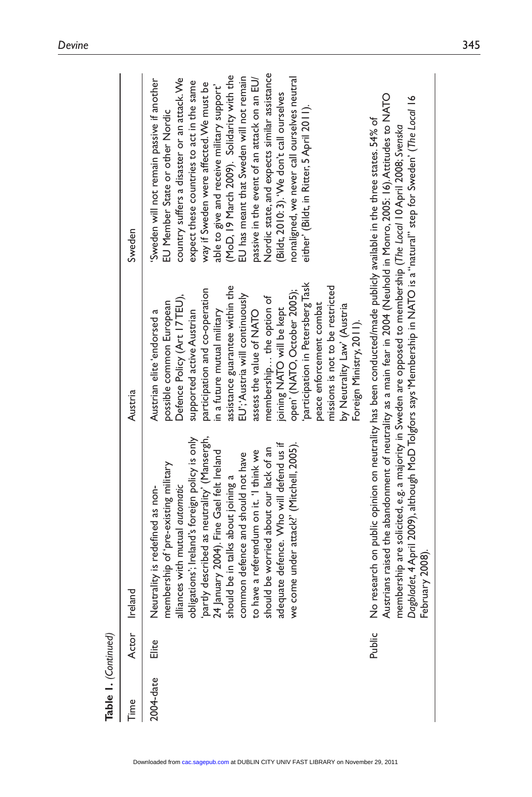| Table 1. (Continued) |        |                                                                                                                                                                                                                                                                                      |                                                                                                                                                                                                                                                                                                                                                                                                                                                                                                                                             |                                                                                                                                                                                                                                                                                                                                                                                                                                                                                                                                                                                                     |
|----------------------|--------|--------------------------------------------------------------------------------------------------------------------------------------------------------------------------------------------------------------------------------------------------------------------------------------|---------------------------------------------------------------------------------------------------------------------------------------------------------------------------------------------------------------------------------------------------------------------------------------------------------------------------------------------------------------------------------------------------------------------------------------------------------------------------------------------------------------------------------------------|-----------------------------------------------------------------------------------------------------------------------------------------------------------------------------------------------------------------------------------------------------------------------------------------------------------------------------------------------------------------------------------------------------------------------------------------------------------------------------------------------------------------------------------------------------------------------------------------------------|
| Time                 | Actor  | Ireland                                                                                                                                                                                                                                                                              | Austria                                                                                                                                                                                                                                                                                                                                                                                                                                                                                                                                     | Sweden                                                                                                                                                                                                                                                                                                                                                                                                                                                                                                                                                                                              |
| 2004-date            | Elite  | membership of 'pre-existing military<br>alliances with mutual <i>automatic</i><br>obligations'; Ireland's foreign policy is only<br>partly described as neutrality' (Mansergh,<br>$24$ January 2004). Fine Gael felt Ireland<br>should be in talk<br>Neutrality is redefined as non- | participation in Petersberg Task<br>assistance guarantee within the<br>missions is not to be restricted<br>participation and co-operation<br>open' (NATO, October 2005);<br>EU'; Austria will continuously<br>Defence Policy (Art 17TEU),<br>membership the option of<br>possible common European<br>peace enforcement combat<br>by Neutrality Law' (Austria<br>joining NATO will be kept<br>supported active Austrian<br>in a future mutual military<br>assess the value of NATO<br>Austrian elite 'endorsed a<br>Foreign Ministry, 2011). | Nordic state, and expects similar assistance<br>(MoD, 19 March 2009). Solidarity with the<br>EU has meant that Sweden will not remain<br>nonaligned, we never call ourselves neutral<br>passive in the event of an attack on an EU/<br>country suffers a disaster or an attack. We<br>Sweden will not remain passive if another<br>expect these countries to act in the same<br>way if Sweden were affected. We must be<br>able to give and receive military support'<br>(Bildt, 2010: 3). 'We don't call ourselves<br>either' (Bildt, in Ritter, 5 April 2011).<br>EU Member State or other Nordic |
|                      | Public | No research on public opinion on neutrality has been conducted/made publicly available in the three states. 54% of<br>Austrians raised the abandonment of neutrality as a main fear in 2004 (Neuhold in Monro, 2005: 16).Attitude                                                    |                                                                                                                                                                                                                                                                                                                                                                                                                                                                                                                                             |                                                                                                                                                                                                                                                                                                                                                                                                                                                                                                                                                                                                     |
|                      |        |                                                                                                                                                                                                                                                                                      |                                                                                                                                                                                                                                                                                                                                                                                                                                                                                                                                             |                                                                                                                                                                                                                                                                                                                                                                                                                                                                                                                                                                                                     |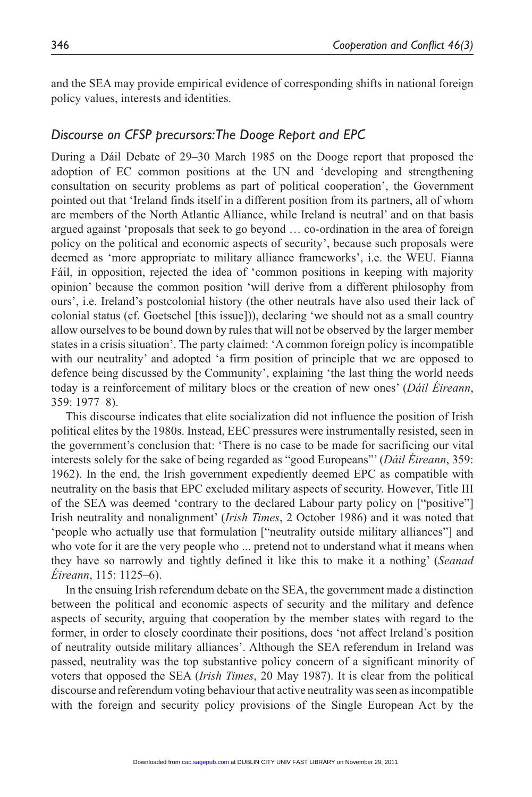and the SEA may provide empirical evidence of corresponding shifts in national foreign policy values, interests and identities.

#### *Discourse on CFSP precursors: The Dooge Report and EPC*

During a Dáil Debate of 29–30 March 1985 on the Dooge report that proposed the adoption of EC common positions at the UN and 'developing and strengthening consultation on security problems as part of political cooperation', the Government pointed out that 'Ireland finds itself in a different position from its partners, all of whom are members of the North Atlantic Alliance, while Ireland is neutral' and on that basis argued against 'proposals that seek to go beyond … co-ordination in the area of foreign policy on the political and economic aspects of security', because such proposals were deemed as 'more appropriate to military alliance frameworks', i.e. the WEU. Fianna Fáil, in opposition, rejected the idea of 'common positions in keeping with majority opinion' because the common position 'will derive from a different philosophy from ours', i.e. Ireland's postcolonial history (the other neutrals have also used their lack of colonial status (cf. Goetschel [this issue])), declaring 'we should not as a small country allow ourselves to be bound down by rules that will not be observed by the larger member states in a crisis situation'. The party claimed: 'A common foreign policy is incompatible with our neutrality' and adopted 'a firm position of principle that we are opposed to defence being discussed by the Community', explaining 'the last thing the world needs today is a reinforcement of military blocs or the creation of new ones' (*Dáil Éireann*, 359: 1977–8).

This discourse indicates that elite socialization did not influence the position of Irish political elites by the 1980s. Instead, EEC pressures were instrumentally resisted, seen in the government's conclusion that: 'There is no case to be made for sacrificing our vital interests solely for the sake of being regarded as "good Europeans"' (*Dáil Éireann*, 359: 1962). In the end, the Irish government expediently deemed EPC as compatible with neutrality on the basis that EPC excluded military aspects of security. However, Title III of the SEA was deemed 'contrary to the declared Labour party policy on ["positive"] Irish neutrality and nonalignment' (*Irish Times*, 2 October 1986) and it was noted that 'people who actually use that formulation ["neutrality outside military alliances"] and who vote for it are the very people who ... pretend not to understand what it means when they have so narrowly and tightly defined it like this to make it a nothing' (*Seanad Éireann*, 115: 1125–6).

In the ensuing Irish referendum debate on the SEA, the government made a distinction between the political and economic aspects of security and the military and defence aspects of security, arguing that cooperation by the member states with regard to the former, in order to closely coordinate their positions, does 'not affect Ireland's position of neutrality outside military alliances'. Although the SEA referendum in Ireland was passed, neutrality was the top substantive policy concern of a significant minority of voters that opposed the SEA (*Irish Times*, 20 May 1987). It is clear from the political discourse and referendum voting behaviour that active neutrality was seen as incompatible with the foreign and security policy provisions of the Single European Act by the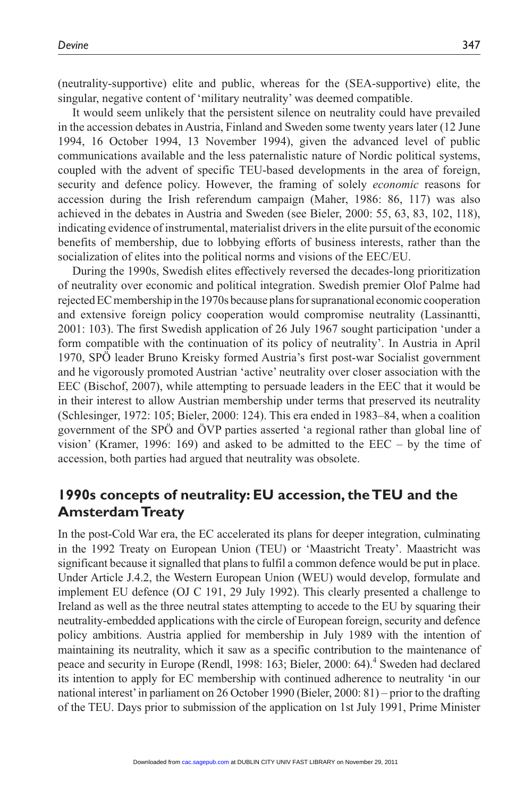(neutrality-supportive) elite and public, whereas for the (SEA-supportive) elite, the singular, negative content of 'military neutrality' was deemed compatible.

It would seem unlikely that the persistent silence on neutrality could have prevailed in the accession debates in Austria, Finland and Sweden some twenty years later (12 June 1994, 16 October 1994, 13 November 1994), given the advanced level of public communications available and the less paternalistic nature of Nordic political systems, coupled with the advent of specific TEU-based developments in the area of foreign, security and defence policy. However, the framing of solely *economic* reasons for accession during the Irish referendum campaign (Maher, 1986: 86, 117) was also achieved in the debates in Austria and Sweden (see Bieler, 2000: 55, 63, 83, 102, 118), indicating evidence of instrumental, materialist drivers in the elite pursuit of the economic benefits of membership, due to lobbying efforts of business interests, rather than the socialization of elites into the political norms and visions of the EEC/EU.

During the 1990s, Swedish elites effectively reversed the decades-long prioritization of neutrality over economic and political integration. Swedish premier Olof Palme had rejected EC membership in the 1970s because plans for supranational economic cooperation and extensive foreign policy cooperation would compromise neutrality (Lassinantti, 2001: 103). The first Swedish application of 26 July 1967 sought participation 'under a form compatible with the continuation of its policy of neutrality'. In Austria in April 1970, SPÖ leader Bruno Kreisky formed Austria's first post-war Socialist government and he vigorously promoted Austrian 'active' neutrality over closer association with the EEC (Bischof, 2007), while attempting to persuade leaders in the EEC that it would be in their interest to allow Austrian membership under terms that preserved its neutrality (Schlesinger, 1972: 105; Bieler, 2000: 124). This era ended in 1983–84, when a coalition government of the SPÖ and ÖVP parties asserted 'a regional rather than global line of vision' (Kramer, 1996: 169) and asked to be admitted to the EEC – by the time of accession, both parties had argued that neutrality was obsolete.

# **1990s concepts of neutrality: EU accession, the TEU and the Amsterdam Treaty**

In the post-Cold War era, the EC accelerated its plans for deeper integration, culminating in the 1992 Treaty on European Union (TEU) or 'Maastricht Treaty'. Maastricht was significant because it signalled that plans to fulfil a common defence would be put in place. Under Article J.4.2, the Western European Union (WEU) would develop, formulate and implement EU defence (OJ C 191, 29 July 1992). This clearly presented a challenge to Ireland as well as the three neutral states attempting to accede to the EU by squaring their neutrality-embedded applications with the circle of European foreign, security and defence policy ambitions. Austria applied for membership in July 1989 with the intention of maintaining its neutrality, which it saw as a specific contribution to the maintenance of peace and security in Europe (Rendl, 1998: 163; Bieler, 2000: 64).<sup>4</sup> Sweden had declared its intention to apply for EC membership with continued adherence to neutrality 'in our national interest' in parliament on 26 October 1990 (Bieler, 2000: 81) – prior to the drafting of the TEU. Days prior to submission of the application on 1st July 1991, Prime Minister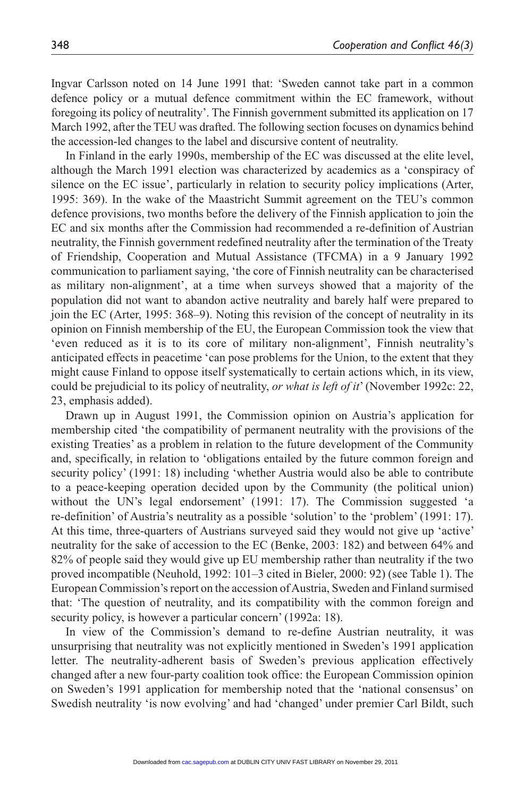Ingvar Carlsson noted on 14 June 1991 that: 'Sweden cannot take part in a common defence policy or a mutual defence commitment within the EC framework, without foregoing its policy of neutrality'. The Finnish government submitted its application on 17 March 1992, after the TEU was drafted. The following section focuses on dynamics behind the accession-led changes to the label and discursive content of neutrality.

In Finland in the early 1990s, membership of the EC was discussed at the elite level, although the March 1991 election was characterized by academics as a 'conspiracy of silence on the EC issue', particularly in relation to security policy implications (Arter, 1995: 369). In the wake of the Maastricht Summit agreement on the TEU's common defence provisions, two months before the delivery of the Finnish application to join the EC and six months after the Commission had recommended a re-definition of Austrian neutrality, the Finnish government redefined neutrality after the termination of the Treaty of Friendship, Cooperation and Mutual Assistance (TFCMA) in a 9 January 1992 communication to parliament saying, 'the core of Finnish neutrality can be characterised as military non-alignment', at a time when surveys showed that a majority of the population did not want to abandon active neutrality and barely half were prepared to join the EC (Arter, 1995: 368–9). Noting this revision of the concept of neutrality in its opinion on Finnish membership of the EU, the European Commission took the view that 'even reduced as it is to its core of military non-alignment', Finnish neutrality's anticipated effects in peacetime 'can pose problems for the Union, to the extent that they might cause Finland to oppose itself systematically to certain actions which, in its view, could be prejudicial to its policy of neutrality, *or what is left of it*' (November 1992c: 22, 23, emphasis added).

Drawn up in August 1991, the Commission opinion on Austria's application for membership cited 'the compatibility of permanent neutrality with the provisions of the existing Treaties' as a problem in relation to the future development of the Community and, specifically, in relation to 'obligations entailed by the future common foreign and security policy' (1991: 18) including 'whether Austria would also be able to contribute to a peace-keeping operation decided upon by the Community (the political union) without the UN's legal endorsement' (1991: 17). The Commission suggested 'a re-definition' of Austria's neutrality as a possible 'solution' to the 'problem' (1991: 17). At this time, three-quarters of Austrians surveyed said they would not give up 'active' neutrality for the sake of accession to the EC (Benke, 2003: 182) and between 64% and 82% of people said they would give up EU membership rather than neutrality if the two proved incompatible (Neuhold, 1992: 101–3 cited in Bieler, 2000: 92) (see Table 1). The European Commission's report on the accession of Austria, Sweden and Finland surmised that: 'The question of neutrality, and its compatibility with the common foreign and security policy, is however a particular concern' (1992a: 18).

In view of the Commission's demand to re-define Austrian neutrality, it was unsurprising that neutrality was not explicitly mentioned in Sweden's 1991 application letter. The neutrality-adherent basis of Sweden's previous application effectively changed after a new four-party coalition took office: the European Commission opinion on Sweden's 1991 application for membership noted that the 'national consensus' on Swedish neutrality 'is now evolving' and had 'changed' under premier Carl Bildt, such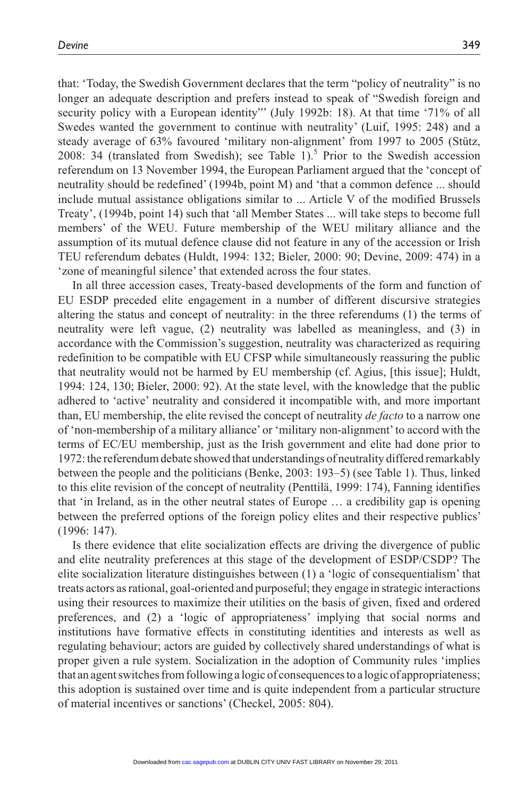that: 'Today, the Swedish Government declares that the term "policy of neutrality" is no longer an adequate description and prefers instead to speak of "Swedish foreign and security policy with a European identity"' (July 1992b: 18). At that time '71% of all Swedes wanted the government to continue with neutrality' (Luif, 1995: 248) and a steady average of 63% favoured 'military non-alignment' from 1997 to 2005 (Stütz, 2008: 34 (translated from Swedish); see Table  $1$ <sup>5</sup>. Prior to the Swedish accession referendum on 13 November 1994, the European Parliament argued that the 'concept of neutrality should be redefined' (1994b, point M) and 'that a common defence ... should include mutual assistance obligations similar to ... Article V of the modified Brussels Treaty', (1994b, point 14) such that 'all Member States ... will take steps to become full members' of the WEU. Future membership of the WEU military alliance and the assumption of its mutual defence clause did not feature in any of the accession or Irish TEU referendum debates (Huldt, 1994: 132; Bieler, 2000: 90; Devine, 2009: 474) in a 'zone of meaningful silence' that extended across the four states.

In all three accession cases, Treaty-based developments of the form and function of EU ESDP preceded elite engagement in a number of different discursive strategies altering the status and concept of neutrality: in the three referendums (1) the terms of neutrality were left vague, (2) neutrality was labelled as meaningless, and (3) in accordance with the Commission's suggestion, neutrality was characterized as requiring redefinition to be compatible with EU CFSP while simultaneously reassuring the public that neutrality would not be harmed by EU membership (cf. Agius, [this issue]; Huldt, 1994: 124, 130; Bieler, 2000: 92). At the state level, with the knowledge that the public adhered to 'active' neutrality and considered it incompatible with, and more important than, EU membership, the elite revised the concept of neutrality *de facto* to a narrow one of 'non-membership of a military alliance' or 'military non-alignment' to accord with the terms of EC/EU membership, just as the Irish government and elite had done prior to 1972: the referendum debate showed that understandings of neutrality differed remarkably between the people and the politicians (Benke, 2003: 193–5) (see Table 1). Thus, linked to this elite revision of the concept of neutrality (Penttilä, 1999: 174), Fanning identifies that 'in Ireland, as in the other neutral states of Europe … a credibility gap is opening between the preferred options of the foreign policy elites and their respective publics' (1996: 147).

Is there evidence that elite socialization effects are driving the divergence of public and elite neutrality preferences at this stage of the development of ESDP/CSDP? The elite socialization literature distinguishes between (1) a 'logic of consequentialism' that treats actors as rational, goal-oriented and purposeful; they engage in strategic interactions using their resources to maximize their utilities on the basis of given, fixed and ordered preferences, and (2) a 'logic of appropriateness' implying that social norms and institutions have formative effects in constituting identities and interests as well as regulating behaviour; actors are guided by collectively shared understandings of what is proper given a rule system. Socialization in the adoption of Community rules 'implies that an agent switches from following a logic of consequences to a logic of appropriateness; this adoption is sustained over time and is quite independent from a particular structure of material incentives or sanctions' (Checkel, 2005: 804).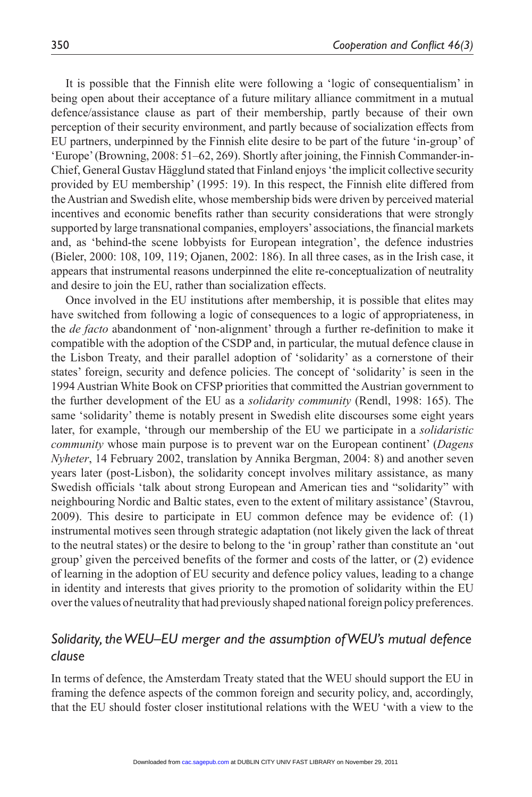It is possible that the Finnish elite were following a 'logic of consequentialism' in being open about their acceptance of a future military alliance commitment in a mutual defence/assistance clause as part of their membership, partly because of their own perception of their security environment, and partly because of socialization effects from EU partners, underpinned by the Finnish elite desire to be part of the future 'in-group' of 'Europe' (Browning, 2008: 51–62, 269). Shortly after joining, the Finnish Commander-in-Chief, General Gustav Hägglund stated that Finland enjoys 'the implicit collective security provided by EU membership' (1995: 19). In this respect, the Finnish elite differed from the Austrian and Swedish elite, whose membership bids were driven by perceived material incentives and economic benefits rather than security considerations that were strongly supported by large transnational companies, employers' associations, the financial markets and, as 'behind-the scene lobbyists for European integration', the defence industries (Bieler, 2000: 108, 109, 119; Ojanen, 2002: 186). In all three cases, as in the Irish case, it appears that instrumental reasons underpinned the elite re-conceptualization of neutrality and desire to join the EU, rather than socialization effects.

Once involved in the EU institutions after membership, it is possible that elites may have switched from following a logic of consequences to a logic of appropriateness, in the *de facto* abandonment of 'non-alignment' through a further re-definition to make it compatible with the adoption of the CSDP and, in particular, the mutual defence clause in the Lisbon Treaty, and their parallel adoption of 'solidarity' as a cornerstone of their states' foreign, security and defence policies. The concept of 'solidarity' is seen in the 1994 Austrian White Book on CFSP priorities that committed the Austrian government to the further development of the EU as a *solidarity community* (Rendl, 1998: 165). The same 'solidarity' theme is notably present in Swedish elite discourses some eight years later, for example, 'through our membership of the EU we participate in a *solidaristic community* whose main purpose is to prevent war on the European continent' (*Dagens Nyheter*, 14 February 2002, translation by Annika Bergman, 2004: 8) and another seven years later (post-Lisbon), the solidarity concept involves military assistance, as many Swedish officials 'talk about strong European and American ties and "solidarity" with neighbouring Nordic and Baltic states, even to the extent of military assistance' (Stavrou, 2009). This desire to participate in EU common defence may be evidence of: (1) instrumental motives seen through strategic adaptation (not likely given the lack of threat to the neutral states) or the desire to belong to the 'in group' rather than constitute an 'out group' given the perceived benefits of the former and costs of the latter, or (2) evidence of learning in the adoption of EU security and defence policy values, leading to a change in identity and interests that gives priority to the promotion of solidarity within the EU over the values of neutrality that had previously shaped national foreign policy preferences.

## *Solidarity, the WEU–EU merger and the assumption of WEU's mutual defence clause*

In terms of defence, the Amsterdam Treaty stated that the WEU should support the EU in framing the defence aspects of the common foreign and security policy, and, accordingly, that the EU should foster closer institutional relations with the WEU 'with a view to the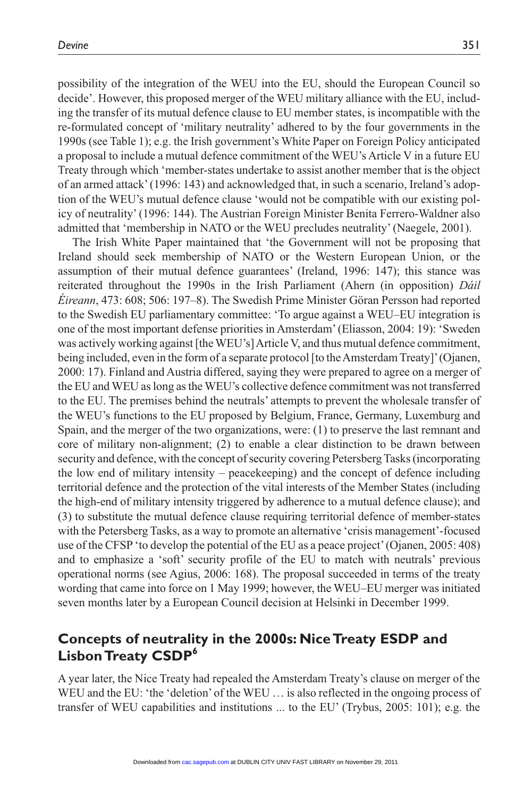possibility of the integration of the WEU into the EU, should the European Council so decide'. However, this proposed merger of the WEU military alliance with the EU, including the transfer of its mutual defence clause to EU member states, is incompatible with the re-formulated concept of 'military neutrality' adhered to by the four governments in the 1990s (see Table 1); e.g. the Irish government's White Paper on Foreign Policy anticipated a proposal to include a mutual defence commitment of the WEU's Article V in a future EU Treaty through which 'member-states undertake to assist another member that is the object of an armed attack' (1996: 143) and acknowledged that, in such a scenario, Ireland's adoption of the WEU's mutual defence clause 'would not be compatible with our existing policy of neutrality' (1996: 144). The Austrian Foreign Minister Benita Ferrero-Waldner also admitted that 'membership in NATO or the WEU precludes neutrality' (Naegele, 2001).

The Irish White Paper maintained that 'the Government will not be proposing that Ireland should seek membership of NATO or the Western European Union, or the assumption of their mutual defence guarantees' (Ireland, 1996: 147); this stance was reiterated throughout the 1990s in the Irish Parliament (Ahern (in opposition) *Dáil Éireann*, 473: 608; 506: 197–8). The Swedish Prime Minister Göran Persson had reported to the Swedish EU parliamentary committee: 'To argue against a WEU–EU integration is one of the most important defense priorities in Amsterdam' (Eliasson, 2004: 19): 'Sweden was actively working against [the WEU's] Article V, and thus mutual defence commitment, being included, even in the form of a separate protocol [to the Amsterdam Treaty]' (Ojanen, 2000: 17). Finland and Austria differed, saying they were prepared to agree on a merger of the EU and WEU as long as the WEU's collective defence commitment was not transferred to the EU. The premises behind the neutrals' attempts to prevent the wholesale transfer of the WEU's functions to the EU proposed by Belgium, France, Germany, Luxemburg and Spain, and the merger of the two organizations, were: (1) to preserve the last remnant and core of military non-alignment; (2) to enable a clear distinction to be drawn between security and defence, with the concept of security covering Petersberg Tasks (incorporating the low end of military intensity – peacekeeping) and the concept of defence including territorial defence and the protection of the vital interests of the Member States (including the high-end of military intensity triggered by adherence to a mutual defence clause); and (3) to substitute the mutual defence clause requiring territorial defence of member-states with the Petersberg Tasks, as a way to promote an alternative 'crisis management'-focused use of the CFSP 'to develop the potential of the EU as a peace project' (Ojanen, 2005: 408) and to emphasize a 'soft' security profile of the EU to match with neutrals' previous operational norms (see Agius, 2006: 168). The proposal succeeded in terms of the treaty wording that came into force on 1 May 1999; however, the WEU–EU merger was initiated seven months later by a European Council decision at Helsinki in December 1999.

## **Concepts of neutrality in the 2000s: Nice Treaty ESDP and Lisbon Treaty CSDP6**

A year later, the Nice Treaty had repealed the Amsterdam Treaty's clause on merger of the WEU and the EU: 'the 'deletion' of the WEU ... is also reflected in the ongoing process of transfer of WEU capabilities and institutions ... to the EU' (Trybus, 2005: 101); e.g. the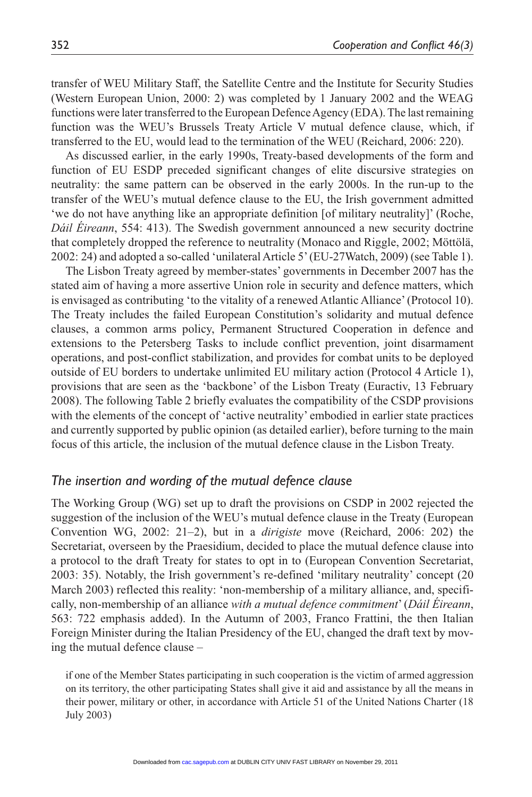transfer of WEU Military Staff, the Satellite Centre and the Institute for Security Studies (Western European Union, 2000: 2) was completed by 1 January 2002 and the WEAG functions were later transferred to the European Defence Agency (EDA). The last remaining function was the WEU's Brussels Treaty Article V mutual defence clause, which, if transferred to the EU, would lead to the termination of the WEU (Reichard, 2006: 220).

As discussed earlier, in the early 1990s, Treaty-based developments of the form and function of EU ESDP preceded significant changes of elite discursive strategies on neutrality: the same pattern can be observed in the early 2000s. In the run-up to the transfer of the WEU's mutual defence clause to the EU, the Irish government admitted 'we do not have anything like an appropriate definition [of military neutrality]' (Roche, *Dáil Éireann*, 554: 413). The Swedish government announced a new security doctrine that completely dropped the reference to neutrality (Monaco and Riggle, 2002; Möttölä, 2002: 24) and adopted a so-called 'unilateral Article 5' (EU-27Watch, 2009) (see Table 1).

The Lisbon Treaty agreed by member-states' governments in December 2007 has the stated aim of having a more assertive Union role in security and defence matters, which is envisaged as contributing 'to the vitality of a renewed Atlantic Alliance' (Protocol 10). The Treaty includes the failed European Constitution's solidarity and mutual defence clauses, a common arms policy, Permanent Structured Cooperation in defence and extensions to the Petersberg Tasks to include conflict prevention, joint disarmament operations, and post-conflict stabilization, and provides for combat units to be deployed outside of EU borders to undertake unlimited EU military action (Protocol 4 Article 1), provisions that are seen as the 'backbone' of the Lisbon Treaty (Euractiv, 13 February 2008). The following Table 2 briefly evaluates the compatibility of the CSDP provisions with the elements of the concept of 'active neutrality' embodied in earlier state practices and currently supported by public opinion (as detailed earlier), before turning to the main focus of this article, the inclusion of the mutual defence clause in the Lisbon Treaty.

#### *The insertion and wording of the mutual defence clause*

The Working Group (WG) set up to draft the provisions on CSDP in 2002 rejected the suggestion of the inclusion of the WEU's mutual defence clause in the Treaty (European Convention WG, 2002: 21–2), but in a *dirigiste* move (Reichard, 2006: 202) the Secretariat, overseen by the Praesidium, decided to place the mutual defence clause into a protocol to the draft Treaty for states to opt in to (European Convention Secretariat, 2003: 35). Notably, the Irish government's re-defined 'military neutrality' concept (20 March 2003) reflected this reality: 'non-membership of a military alliance, and, specifically, non-membership of an alliance *with a mutual defence commitment*' (*Dáil Éireann*, 563: 722 emphasis added). In the Autumn of 2003, Franco Frattini, the then Italian Foreign Minister during the Italian Presidency of the EU, changed the draft text by moving the mutual defence clause –

if one of the Member States participating in such cooperation is the victim of armed aggression on its territory, the other participating States shall give it aid and assistance by all the means in their power, military or other, in accordance with Article 51 of the United Nations Charter (18 July 2003)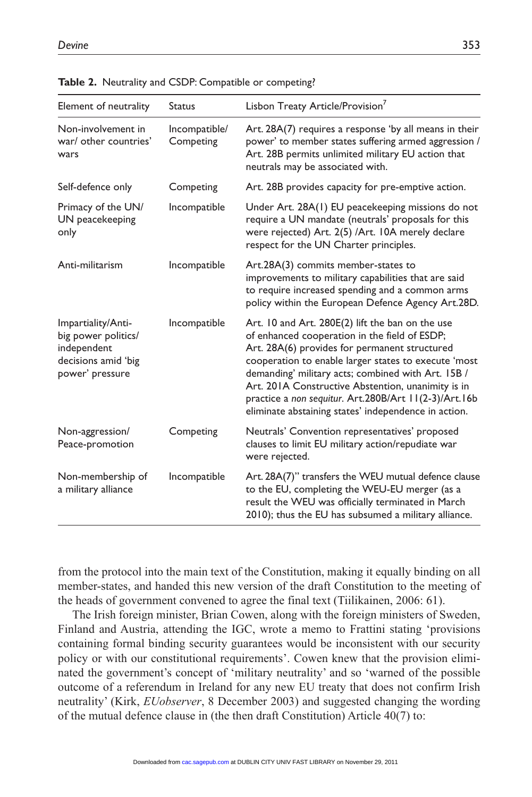| Element of neutrality                                                                              | <b>Status</b>              | Lisbon Treaty Article/Provision <sup>7</sup>                                                                                                                                                                                                                                                                                                                                                                                            |
|----------------------------------------------------------------------------------------------------|----------------------------|-----------------------------------------------------------------------------------------------------------------------------------------------------------------------------------------------------------------------------------------------------------------------------------------------------------------------------------------------------------------------------------------------------------------------------------------|
| Non-involvement in<br>war/ other countries'<br>wars                                                | Incompatible/<br>Competing | Art. 28A(7) requires a response 'by all means in their<br>power' to member states suffering armed aggression /<br>Art. 28B permits unlimited military EU action that<br>neutrals may be associated with.                                                                                                                                                                                                                                |
| Self-defence only                                                                                  | Competing                  | Art. 28B provides capacity for pre-emptive action.                                                                                                                                                                                                                                                                                                                                                                                      |
| Primacy of the UN/<br>UN peacekeeping<br>only                                                      | Incompatible               | Under Art. 28A(1) EU peacekeeping missions do not<br>require a UN mandate (neutrals' proposals for this<br>were rejected) Art. 2(5) /Art. 10A merely declare<br>respect for the UN Charter principles.                                                                                                                                                                                                                                  |
| Anti-militarism                                                                                    | Incompatible               | Art.28A(3) commits member-states to<br>improvements to military capabilities that are said<br>to require increased spending and a common arms<br>policy within the European Defence Agency Art.28D.                                                                                                                                                                                                                                     |
| Impartiality/Anti-<br>big power politics/<br>independent<br>decisions amid 'big<br>power' pressure | Incompatible               | Art. 10 and Art. 280E(2) lift the ban on the use<br>of enhanced cooperation in the field of ESDP;<br>Art. 28A(6) provides for permanent structured<br>cooperation to enable larger states to execute 'most<br>demanding' military acts; combined with Art. 15B /<br>Art. 201A Constructive Abstention, unanimity is in<br>practice a non sequitur. Art.280B/Art 11(2-3)/Art.16b<br>eliminate abstaining states' independence in action. |
| Non-aggression/<br>Peace-promotion                                                                 | Competing                  | Neutrals' Convention representatives' proposed<br>clauses to limit EU military action/repudiate war<br>were rejected.                                                                                                                                                                                                                                                                                                                   |
| Non-membership of<br>a military alliance                                                           | Incompatible               | Art. 28A(7)" transfers the WEU mutual defence clause<br>to the EU, completing the WEU-EU merger (as a<br>result the WEU was officially terminated in March<br>2010); thus the EU has subsumed a military alliance.                                                                                                                                                                                                                      |

|  |  |  |  | Table 2. Neutrality and CSDP: Compatible or competing? |
|--|--|--|--|--------------------------------------------------------|
|--|--|--|--|--------------------------------------------------------|

from the protocol into the main text of the Constitution, making it equally binding on all member-states, and handed this new version of the draft Constitution to the meeting of the heads of government convened to agree the final text (Tiilikainen, 2006: 61).

The Irish foreign minister, Brian Cowen, along with the foreign ministers of Sweden, Finland and Austria, attending the IGC, wrote a memo to Frattini stating 'provisions containing formal binding security guarantees would be inconsistent with our security policy or with our constitutional requirements'. Cowen knew that the provision eliminated the government's concept of 'military neutrality' and so 'warned of the possible outcome of a referendum in Ireland for any new EU treaty that does not confirm Irish neutrality' (Kirk, *EUobserver*, 8 December 2003) and suggested changing the wording of the mutual defence clause in (the then draft Constitution) Article 40(7) to: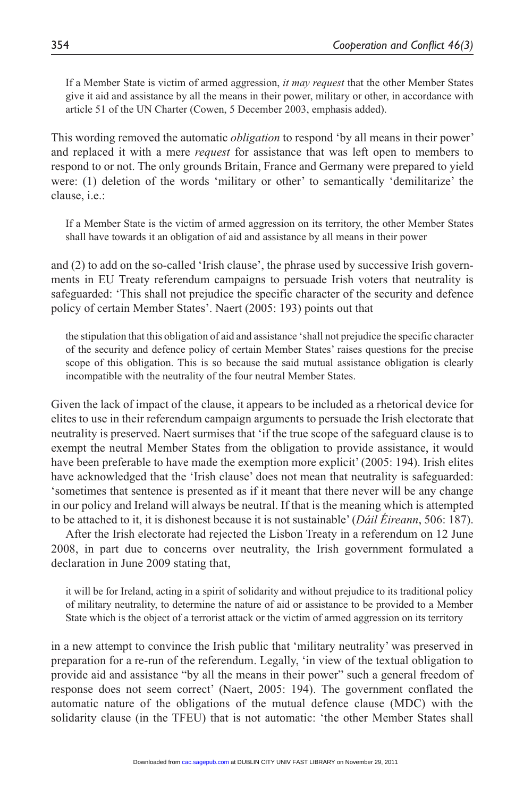If a Member State is victim of armed aggression, *it may request* that the other Member States give it aid and assistance by all the means in their power, military or other, in accordance with article 51 of the UN Charter (Cowen, 5 December 2003, emphasis added).

This wording removed the automatic *obligation* to respond 'by all means in their power' and replaced it with a mere *request* for assistance that was left open to members to respond to or not. The only grounds Britain, France and Germany were prepared to yield were: (1) deletion of the words 'military or other' to semantically 'demilitarize' the clause, i.e.:

If a Member State is the victim of armed aggression on its territory, the other Member States shall have towards it an obligation of aid and assistance by all means in their power

and (2) to add on the so-called 'Irish clause', the phrase used by successive Irish governments in EU Treaty referendum campaigns to persuade Irish voters that neutrality is safeguarded: 'This shall not prejudice the specific character of the security and defence policy of certain Member States'. Naert (2005: 193) points out that

the stipulation that this obligation of aid and assistance 'shall not prejudice the specific character of the security and defence policy of certain Member States' raises questions for the precise scope of this obligation. This is so because the said mutual assistance obligation is clearly incompatible with the neutrality of the four neutral Member States.

Given the lack of impact of the clause, it appears to be included as a rhetorical device for elites to use in their referendum campaign arguments to persuade the Irish electorate that neutrality is preserved. Naert surmises that 'if the true scope of the safeguard clause is to exempt the neutral Member States from the obligation to provide assistance, it would have been preferable to have made the exemption more explicit' (2005: 194). Irish elites have acknowledged that the 'Irish clause' does not mean that neutrality is safeguarded: 'sometimes that sentence is presented as if it meant that there never will be any change in our policy and Ireland will always be neutral. If that is the meaning which is attempted to be attached to it, it is dishonest because it is not sustainable' (*Dáil Éireann*, 506: 187).

After the Irish electorate had rejected the Lisbon Treaty in a referendum on 12 June 2008, in part due to concerns over neutrality, the Irish government formulated a declaration in June 2009 stating that,

it will be for Ireland, acting in a spirit of solidarity and without prejudice to its traditional policy of military neutrality, to determine the nature of aid or assistance to be provided to a Member State which is the object of a terrorist attack or the victim of armed aggression on its territory

in a new attempt to convince the Irish public that 'military neutrality' was preserved in preparation for a re-run of the referendum. Legally, 'in view of the textual obligation to provide aid and assistance "by all the means in their power" such a general freedom of response does not seem correct' (Naert, 2005: 194). The government conflated the automatic nature of the obligations of the mutual defence clause (MDC) with the solidarity clause (in the TFEU) that is not automatic: 'the other Member States shall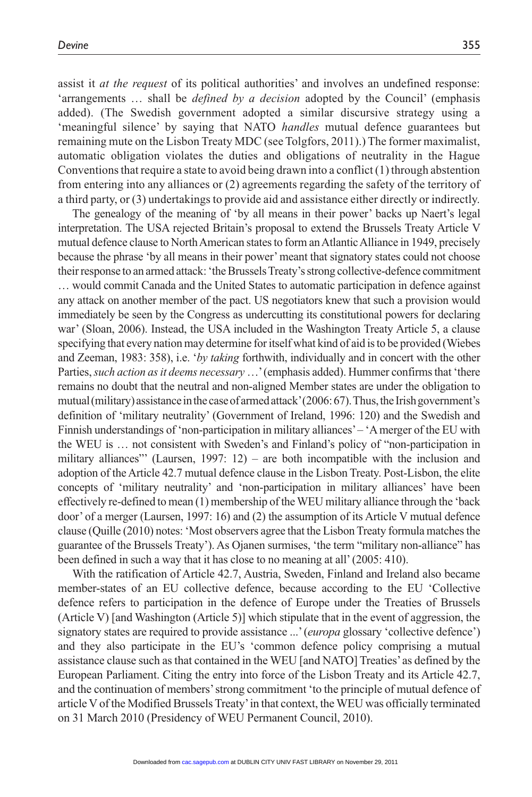assist it *at the request* of its political authorities' and involves an undefined response: 'arrangements … shall be *defined by a decision* adopted by the Council' (emphasis added). (The Swedish government adopted a similar discursive strategy using a 'meaningful silence' by saying that NATO *handles* mutual defence guarantees but remaining mute on the Lisbon Treaty MDC (see Tolgfors, 2011).) The former maximalist, automatic obligation violates the duties and obligations of neutrality in the Hague Conventions that require a state to avoid being drawn into a conflict  $(1)$  through abstention from entering into any alliances or (2) agreements regarding the safety of the territory of a third party, or (3) undertakings to provide aid and assistance either directly or indirectly.

The genealogy of the meaning of 'by all means in their power' backs up Naert's legal interpretation. The USA rejected Britain's proposal to extend the Brussels Treaty Article V mutual defence clause to North American states to form an Atlantic Alliance in 1949, precisely because the phrase 'by all means in their power' meant that signatory states could not choose their response to an armed attack: 'the Brussels Treaty's strong collective-defence commitment … would commit Canada and the United States to automatic participation in defence against any attack on another member of the pact. US negotiators knew that such a provision would immediately be seen by the Congress as undercutting its constitutional powers for declaring war' (Sloan, 2006). Instead, the USA included in the Washington Treaty Article 5, a clause specifying that every nation may determine for itself what kind of aid is to be provided (Wiebes and Zeeman, 1983: 358), i.e. '*by taking* forthwith, individually and in concert with the other Parties, *such action as it deems necessary* …' (emphasis added). Hummer confirms that 'there remains no doubt that the neutral and non-aligned Member states are under the obligation to mutual (military) assistance in the case of armed attack' (2006: 67). Thus, the Irish government's definition of 'military neutrality' (Government of Ireland, 1996: 120) and the Swedish and Finnish understandings of 'non-participation in military alliances' – 'A merger of the EU with the WEU is … not consistent with Sweden's and Finland's policy of "non-participation in military alliances" (Laursen, 1997:  $12$ ) – are both incompatible with the inclusion and adoption of the Article 42.7 mutual defence clause in the Lisbon Treaty. Post-Lisbon, the elite concepts of 'military neutrality' and 'non-participation in military alliances' have been effectively re-defined to mean (1) membership of the WEU military alliance through the 'back door' of a merger (Laursen, 1997: 16) and (2) the assumption of its Article V mutual defence clause (Quille (2010) notes: 'Most observers agree that the Lisbon Treaty formula matches the guarantee of the Brussels Treaty'). As Ojanen surmises, 'the term "military non-alliance" has been defined in such a way that it has close to no meaning at all' (2005: 410).

With the ratification of Article 42.7, Austria, Sweden, Finland and Ireland also became member-states of an EU collective defence, because according to the EU 'Collective defence refers to participation in the defence of Europe under the Treaties of Brussels (Article V) [and Washington (Article 5)] which stipulate that in the event of aggression, the signatory states are required to provide assistance ...' (*europa* glossary 'collective defence') and they also participate in the EU's 'common defence policy comprising a mutual assistance clause such as that contained in the WEU [and NATO] Treaties' as defined by the European Parliament. Citing the entry into force of the Lisbon Treaty and its Article 42.7, and the continuation of members' strong commitment 'to the principle of mutual defence of article V of the Modified Brussels Treaty' in that context, the WEU was officially terminated on 31 March 2010 (Presidency of WEU Permanent Council, 2010).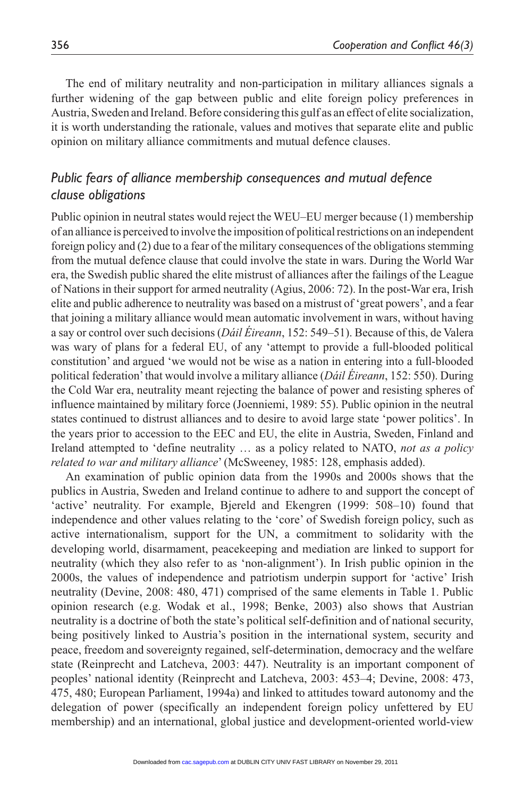The end of military neutrality and non-participation in military alliances signals a further widening of the gap between public and elite foreign policy preferences in Austria, Sweden and Ireland. Before considering this gulf as an effect of elite socialization, it is worth understanding the rationale, values and motives that separate elite and public opinion on military alliance commitments and mutual defence clauses.

## *Public fears of alliance membership consequences and mutual defence clause obligations*

Public opinion in neutral states would reject the WEU–EU merger because (1) membership of an alliance is perceived to involve the imposition of political restrictions on an independent foreign policy and (2) due to a fear of the military consequences of the obligations stemming from the mutual defence clause that could involve the state in wars. During the World War era, the Swedish public shared the elite mistrust of alliances after the failings of the League of Nations in their support for armed neutrality (Agius, 2006: 72). In the post-War era, Irish elite and public adherence to neutrality was based on a mistrust of 'great powers', and a fear that joining a military alliance would mean automatic involvement in wars, without having a say or control over such decisions (*Dáil Éireann*, 152: 549–51). Because of this, de Valera was wary of plans for a federal EU, of any 'attempt to provide a full-blooded political constitution' and argued 'we would not be wise as a nation in entering into a full-blooded political federation' that would involve a military alliance (*Dáil Éireann*, 152: 550). During the Cold War era, neutrality meant rejecting the balance of power and resisting spheres of influence maintained by military force (Joenniemi, 1989: 55). Public opinion in the neutral states continued to distrust alliances and to desire to avoid large state 'power politics'. In the years prior to accession to the EEC and EU, the elite in Austria, Sweden, Finland and Ireland attempted to 'define neutrality … as a policy related to NATO, *not as a policy related to war and military alliance*' (McSweeney, 1985: 128, emphasis added).

An examination of public opinion data from the 1990s and 2000s shows that the publics in Austria, Sweden and Ireland continue to adhere to and support the concept of 'active' neutrality. For example, Bjereld and Ekengren (1999: 508–10) found that independence and other values relating to the 'core' of Swedish foreign policy, such as active internationalism, support for the UN, a commitment to solidarity with the developing world, disarmament, peacekeeping and mediation are linked to support for neutrality (which they also refer to as 'non-alignment'). In Irish public opinion in the 2000s, the values of independence and patriotism underpin support for 'active' Irish neutrality (Devine, 2008: 480, 471) comprised of the same elements in Table 1. Public opinion research (e.g. Wodak et al., 1998; Benke, 2003) also shows that Austrian neutrality is a doctrine of both the state's political self-definition and of national security, being positively linked to Austria's position in the international system, security and peace, freedom and sovereignty regained, self-determination, democracy and the welfare state (Reinprecht and Latcheva, 2003: 447). Neutrality is an important component of peoples' national identity (Reinprecht and Latcheva, 2003: 453–4; Devine, 2008: 473, 475, 480; European Parliament, 1994a) and linked to attitudes toward autonomy and the delegation of power (specifically an independent foreign policy unfettered by EU membership) and an international, global justice and development-oriented world-view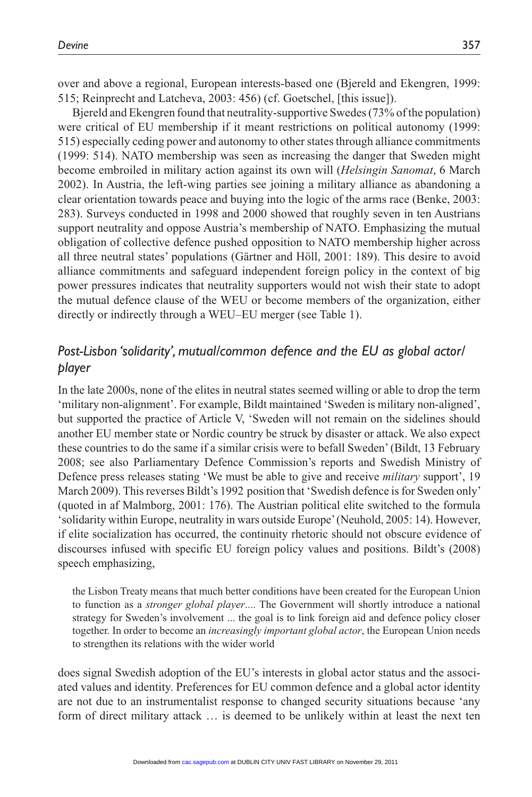over and above a regional, European interests-based one (Bjereld and Ekengren, 1999: 515; Reinprecht and Latcheva, 2003: 456) (cf. Goetschel, [this issue]).

Bjereld and Ekengren found that neutrality-supportive Swedes (73% of the population) were critical of EU membership if it meant restrictions on political autonomy (1999: 515) especially ceding power and autonomy to other states through alliance commitments (1999: 514). NATO membership was seen as increasing the danger that Sweden might become embroiled in military action against its own will (*Helsingin Sanomat*, 6 March 2002). In Austria, the left-wing parties see joining a military alliance as abandoning a clear orientation towards peace and buying into the logic of the arms race (Benke, 2003: 283). Surveys conducted in 1998 and 2000 showed that roughly seven in ten Austrians support neutrality and oppose Austria's membership of NATO. Emphasizing the mutual obligation of collective defence pushed opposition to NATO membership higher across all three neutral states' populations (Gärtner and Höll, 2001: 189). This desire to avoid alliance commitments and safeguard independent foreign policy in the context of big power pressures indicates that neutrality supporters would not wish their state to adopt the mutual defence clause of the WEU or become members of the organization, either directly or indirectly through a WEU–EU merger (see Table 1).

## *Post-Lisbon 'solidarity', mutual/common defence and the EU as global actor/ player*

In the late 2000s, none of the elites in neutral states seemed willing or able to drop the term 'military non-alignment'. For example, Bildt maintained 'Sweden is military non-aligned', but supported the practice of Article V, 'Sweden will not remain on the sidelines should another EU member state or Nordic country be struck by disaster or attack. We also expect these countries to do the same if a similar crisis were to befall Sweden' (Bildt, 13 February 2008; see also Parliamentary Defence Commission's reports and Swedish Ministry of Defence press releases stating 'We must be able to give and receive *military* support', 19 March 2009). This reverses Bildt's 1992 position that 'Swedish defence is for Sweden only' (quoted in af Malmborg, 2001: 176). The Austrian political elite switched to the formula 'solidarity within Europe, neutrality in wars outside Europe' (Neuhold, 2005: 14). However, if elite socialization has occurred, the continuity rhetoric should not obscure evidence of discourses infused with specific EU foreign policy values and positions. Bildt's (2008) speech emphasizing,

the Lisbon Treaty means that much better conditions have been created for the European Union to function as a *stronger global player*.... The Government will shortly introduce a national strategy for Sweden's involvement ... the goal is to link foreign aid and defence policy closer together. In order to become an *increasingly important global actor*, the European Union needs to strengthen its relations with the wider world

does signal Swedish adoption of the EU's interests in global actor status and the associated values and identity. Preferences for EU common defence and a global actor identity are not due to an instrumentalist response to changed security situations because 'any form of direct military attack … is deemed to be unlikely within at least the next ten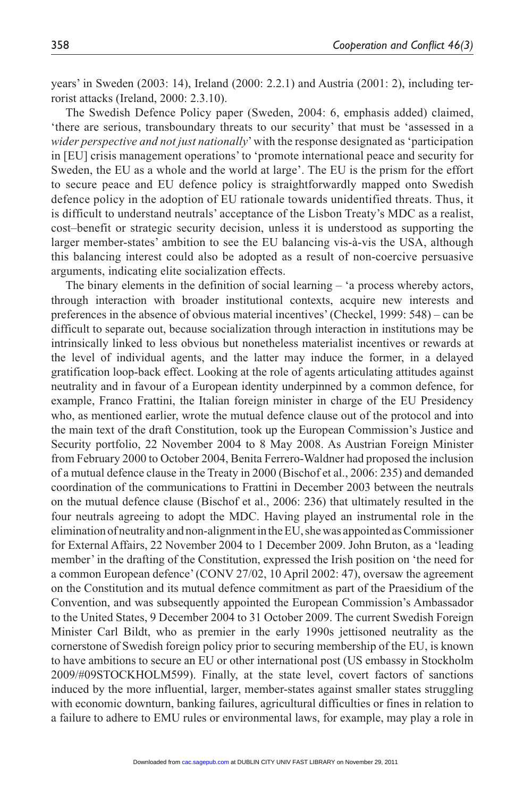years' in Sweden (2003: 14), Ireland (2000: 2.2.1) and Austria (2001: 2), including terrorist attacks (Ireland, 2000: 2.3.10).

The Swedish Defence Policy paper (Sweden, 2004: 6, emphasis added) claimed, 'there are serious, transboundary threats to our security' that must be 'assessed in a *wider perspective and not just nationally*' with the response designated as 'participation in [EU] crisis management operations' to 'promote international peace and security for Sweden, the EU as a whole and the world at large'. The EU is the prism for the effort to secure peace and EU defence policy is straightforwardly mapped onto Swedish defence policy in the adoption of EU rationale towards unidentified threats. Thus, it is difficult to understand neutrals' acceptance of the Lisbon Treaty's MDC as a realist, cost–benefit or strategic security decision, unless it is understood as supporting the larger member-states' ambition to see the EU balancing vis-à-vis the USA, although this balancing interest could also be adopted as a result of non-coercive persuasive arguments, indicating elite socialization effects.

The binary elements in the definition of social learning – 'a process whereby actors, through interaction with broader institutional contexts, acquire new interests and preferences in the absence of obvious material incentives' (Checkel, 1999: 548) – can be difficult to separate out, because socialization through interaction in institutions may be intrinsically linked to less obvious but nonetheless materialist incentives or rewards at the level of individual agents, and the latter may induce the former, in a delayed gratification loop-back effect. Looking at the role of agents articulating attitudes against neutrality and in favour of a European identity underpinned by a common defence, for example, Franco Frattini, the Italian foreign minister in charge of the EU Presidency who, as mentioned earlier, wrote the mutual defence clause out of the protocol and into the main text of the draft Constitution, took up the European Commission's Justice and Security portfolio, 22 November 2004 to 8 May 2008. As Austrian Foreign Minister from February 2000 to October 2004, Benita Ferrero-Waldner had proposed the inclusion of a mutual defence clause in the Treaty in 2000 (Bischof et al., 2006: 235) and demanded coordination of the communications to Frattini in December 2003 between the neutrals on the mutual defence clause (Bischof et al., 2006: 236) that ultimately resulted in the four neutrals agreeing to adopt the MDC. Having played an instrumental role in the elimination of neutrality and non-alignment in the EU, she was appointed as Commissioner for External Affairs, 22 November 2004 to 1 December 2009. John Bruton, as a 'leading member' in the drafting of the Constitution, expressed the Irish position on 'the need for a common European defence' (CONV 27/02, 10 April 2002: 47), oversaw the agreement on the Constitution and its mutual defence commitment as part of the Praesidium of the Convention, and was subsequently appointed the European Commission's Ambassador to the United States, 9 December 2004 to 31 October 2009. The current Swedish Foreign Minister Carl Bildt, who as premier in the early 1990s jettisoned neutrality as the cornerstone of Swedish foreign policy prior to securing membership of the EU, is known to have ambitions to secure an EU or other international post (US embassy in Stockholm 2009/#09STOCKHOLM599). Finally, at the state level, covert factors of sanctions induced by the more influential, larger, member-states against smaller states struggling with economic downturn, banking failures, agricultural difficulties or fines in relation to a failure to adhere to EMU rules or environmental laws, for example, may play a role in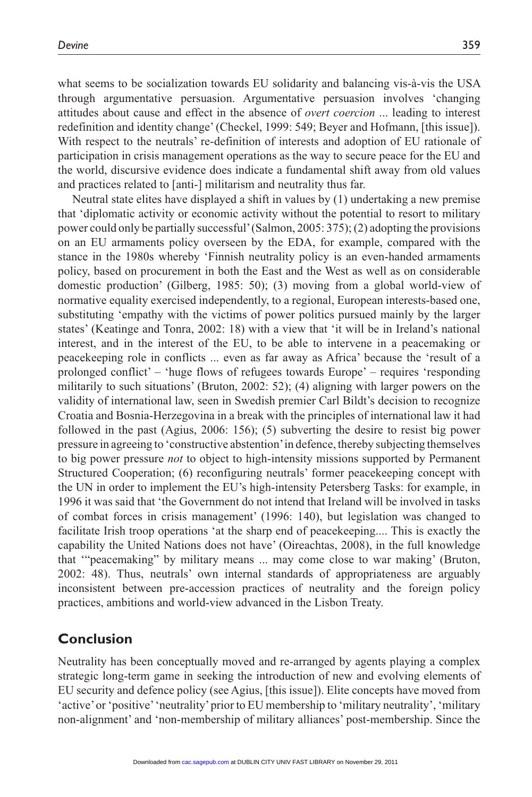what seems to be socialization towards EU solidarity and balancing vis-à-vis the USA through argumentative persuasion. Argumentative persuasion involves 'changing attitudes about cause and effect in the absence of *overt coercion* ... leading to interest redefinition and identity change' (Checkel, 1999: 549; Beyer and Hofmann, [this issue]). With respect to the neutrals' re-definition of interests and adoption of EU rationale of participation in crisis management operations as the way to secure peace for the EU and the world, discursive evidence does indicate a fundamental shift away from old values and practices related to [anti-] militarism and neutrality thus far.

Neutral state elites have displayed a shift in values by (1) undertaking a new premise that 'diplomatic activity or economic activity without the potential to resort to military power could only be partially successful' (Salmon, 2005: 375); (2) adopting the provisions on an EU armaments policy overseen by the EDA, for example, compared with the stance in the 1980s whereby 'Finnish neutrality policy is an even-handed armaments policy, based on procurement in both the East and the West as well as on considerable domestic production' (Gilberg, 1985: 50); (3) moving from a global world-view of normative equality exercised independently, to a regional, European interests-based one, substituting 'empathy with the victims of power politics pursued mainly by the larger states' (Keatinge and Tonra, 2002: 18) with a view that 'it will be in Ireland's national interest, and in the interest of the EU, to be able to intervene in a peacemaking or peacekeeping role in conflicts ... even as far away as Africa' because the 'result of a prolonged conflict' – 'huge flows of refugees towards Europe' – requires 'responding militarily to such situations' (Bruton, 2002: 52); (4) aligning with larger powers on the validity of international law, seen in Swedish premier Carl Bildt's decision to recognize Croatia and Bosnia-Herzegovina in a break with the principles of international law it had followed in the past (Agius, 2006: 156); (5) subverting the desire to resist big power pressure in agreeing to 'constructive abstention' in defence, thereby subjecting themselves to big power pressure *not* to object to high-intensity missions supported by Permanent Structured Cooperation; (6) reconfiguring neutrals' former peacekeeping concept with the UN in order to implement the EU's high-intensity Petersberg Tasks: for example, in 1996 it was said that 'the Government do not intend that Ireland will be involved in tasks of combat forces in crisis management' (1996: 140), but legislation was changed to facilitate Irish troop operations 'at the sharp end of peacekeeping.... This is exactly the capability the United Nations does not have' (Oireachtas, 2008), in the full knowledge that '"peacemaking" by military means ... may come close to war making' (Bruton, 2002: 48). Thus, neutrals' own internal standards of appropriateness are arguably inconsistent between pre-accession practices of neutrality and the foreign policy practices, ambitions and world-view advanced in the Lisbon Treaty.

## **Conclusion**

Neutrality has been conceptually moved and re-arranged by agents playing a complex strategic long-term game in seeking the introduction of new and evolving elements of EU security and defence policy (see Agius, [this issue]). Elite concepts have moved from 'active' or 'positive' 'neutrality' prior to EU membership to 'military neutrality', 'military non-alignment' and 'non-membership of military alliances' post-membership. Since the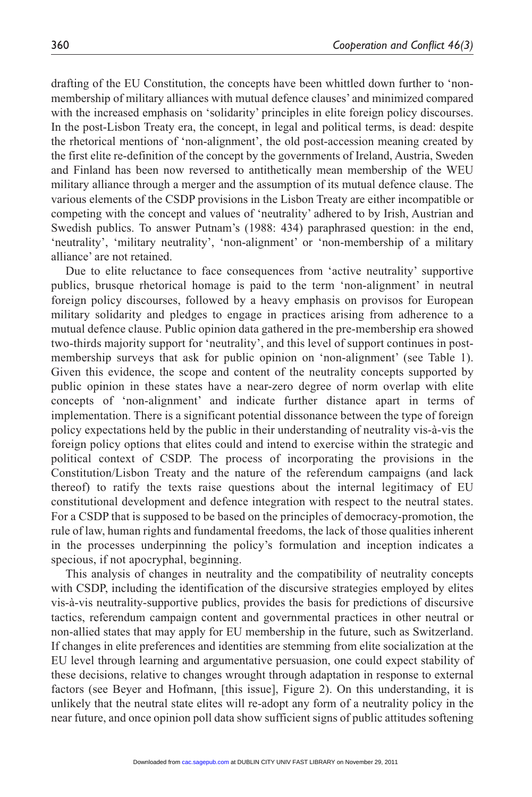drafting of the EU Constitution, the concepts have been whittled down further to 'nonmembership of military alliances with mutual defence clauses' and minimized compared with the increased emphasis on 'solidarity' principles in elite foreign policy discourses. In the post-Lisbon Treaty era, the concept, in legal and political terms, is dead: despite the rhetorical mentions of 'non-alignment', the old post-accession meaning created by the first elite re-definition of the concept by the governments of Ireland, Austria, Sweden and Finland has been now reversed to antithetically mean membership of the WEU military alliance through a merger and the assumption of its mutual defence clause. The various elements of the CSDP provisions in the Lisbon Treaty are either incompatible or competing with the concept and values of 'neutrality' adhered to by Irish, Austrian and Swedish publics. To answer Putnam's (1988: 434) paraphrased question: in the end, 'neutrality', 'military neutrality', 'non-alignment' or 'non-membership of a military alliance' are not retained.

Due to elite reluctance to face consequences from 'active neutrality' supportive publics, brusque rhetorical homage is paid to the term 'non-alignment' in neutral foreign policy discourses, followed by a heavy emphasis on provisos for European military solidarity and pledges to engage in practices arising from adherence to a mutual defence clause. Public opinion data gathered in the pre-membership era showed two-thirds majority support for 'neutrality', and this level of support continues in postmembership surveys that ask for public opinion on 'non-alignment' (see Table 1). Given this evidence, the scope and content of the neutrality concepts supported by public opinion in these states have a near-zero degree of norm overlap with elite concepts of 'non-alignment' and indicate further distance apart in terms of implementation. There is a significant potential dissonance between the type of foreign policy expectations held by the public in their understanding of neutrality vis-à-vis the foreign policy options that elites could and intend to exercise within the strategic and political context of CSDP. The process of incorporating the provisions in the Constitution/Lisbon Treaty and the nature of the referendum campaigns (and lack thereof) to ratify the texts raise questions about the internal legitimacy of EU constitutional development and defence integration with respect to the neutral states. For a CSDP that is supposed to be based on the principles of democracy-promotion, the rule of law, human rights and fundamental freedoms, the lack of those qualities inherent in the processes underpinning the policy's formulation and inception indicates a specious, if not apocryphal, beginning.

This analysis of changes in neutrality and the compatibility of neutrality concepts with CSDP, including the identification of the discursive strategies employed by elites vis-à-vis neutrality-supportive publics, provides the basis for predictions of discursive tactics, referendum campaign content and governmental practices in other neutral or non-allied states that may apply for EU membership in the future, such as Switzerland. If changes in elite preferences and identities are stemming from elite socialization at the EU level through learning and argumentative persuasion, one could expect stability of these decisions, relative to changes wrought through adaptation in response to external factors (see Beyer and Hofmann, [this issue], Figure 2). On this understanding, it is unlikely that the neutral state elites will re-adopt any form of a neutrality policy in the near future, and once opinion poll data show sufficient signs of public attitudes softening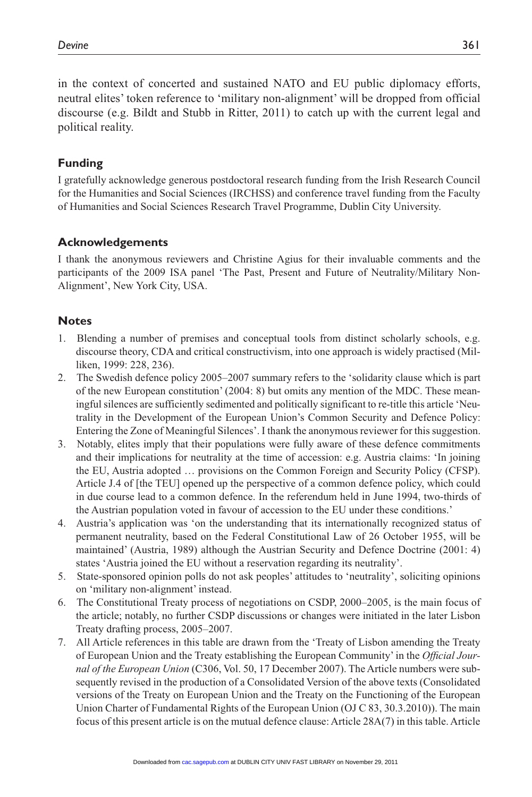in the context of concerted and sustained NATO and EU public diplomacy efforts, neutral elites' token reference to 'military non-alignment' will be dropped from official discourse (e.g. Bildt and Stubb in Ritter, 2011) to catch up with the current legal and political reality.

#### **Funding**

I gratefully acknowledge generous postdoctoral research funding from the Irish Research Council for the Humanities and Social Sciences (IRCHSS) and conference travel funding from the Faculty of Humanities and Social Sciences Research Travel Programme, Dublin City University.

#### **Acknowledgements**

I thank the anonymous reviewers and Christine Agius for their invaluable comments and the participants of the 2009 ISA panel 'The Past, Present and Future of Neutrality/Military Non-Alignment', New York City, USA.

#### **Notes**

- 1. Blending a number of premises and conceptual tools from distinct scholarly schools, e.g. discourse theory, CDA and critical constructivism, into one approach is widely practised (Milliken, 1999: 228, 236).
- 2. The Swedish defence policy 2005–2007 summary refers to the 'solidarity clause which is part of the new European constitution' (2004: 8) but omits any mention of the MDC. These meaningful silences are sufficiently sedimented and politically significant to re-title this article 'Neutrality in the Development of the European Union's Common Security and Defence Policy: Entering the Zone of Meaningful Silences'. I thank the anonymous reviewer for this suggestion.
- 3. Notably, elites imply that their populations were fully aware of these defence commitments and their implications for neutrality at the time of accession: e.g. Austria claims: 'In joining the EU, Austria adopted … provisions on the Common Foreign and Security Policy (CFSP). Article J.4 of [the TEU] opened up the perspective of a common defence policy, which could in due course lead to a common defence. In the referendum held in June 1994, two-thirds of the Austrian population voted in favour of accession to the EU under these conditions.'
- 4. Austria's application was 'on the understanding that its internationally recognized status of permanent neutrality, based on the Federal Constitutional Law of 26 October 1955, will be maintained' (Austria, 1989) although the Austrian Security and Defence Doctrine (2001: 4) states 'Austria joined the EU without a reservation regarding its neutrality'.
- 5. State-sponsored opinion polls do not ask peoples' attitudes to 'neutrality', soliciting opinions on 'military non-alignment' instead.
- 6. The Constitutional Treaty process of negotiations on CSDP, 2000–2005, is the main focus of the article; notably, no further CSDP discussions or changes were initiated in the later Lisbon Treaty drafting process, 2005–2007.
- 7. All Article references in this table are drawn from the 'Treaty of Lisbon amending the Treaty of European Union and the Treaty establishing the European Community' in the *Official Journal of the European Union* (C306, Vol. 50, 17 December 2007). The Article numbers were subsequently revised in the production of a Consolidated Version of the above texts (Consolidated versions of the Treaty on European Union and the Treaty on the Functioning of the European Union Charter of Fundamental Rights of the European Union (OJ C 83, 30.3.2010)). The main focus of this present article is on the mutual defence clause: Article 28A(7) in this table. Article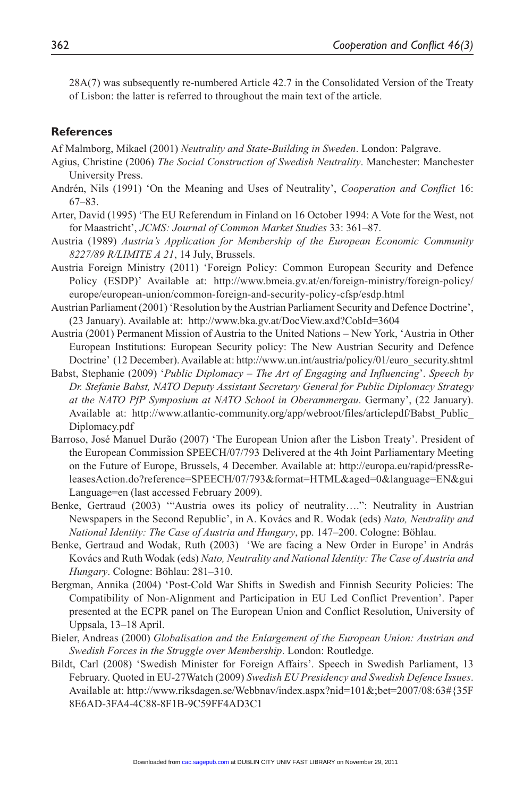28A(7) was subsequently re-numbered Article 42.7 in the Consolidated Version of the Treaty of Lisbon: the latter is referred to throughout the main text of the article.

#### **References**

Af Malmborg, Mikael (2001) *Neutrality and State-Building in Sweden*. London: Palgrave.

- Agius, Christine (2006) *The Social Construction of Swedish Neutrality*. Manchester: Manchester University Press.
- Andrén, Nils (1991) 'On the Meaning and Uses of Neutrality', *Cooperation and Conflict* 16: 67–83.
- Arter, David (1995) 'The EU Referendum in Finland on 16 October 1994: A Vote for the West, not for Maastricht', *JCMS: Journal of Common Market Studies* 33: 361–87.
- Austria (1989) *Austria's Application for Membership of the European Economic Community 8227/89 R/LIMITE A 21*, 14 July, Brussels.
- Austria Foreign Ministry (2011) 'Foreign Policy: Common European Security and Defence Policy (ESDP)' Available at: http://www.bmeia.gv.at/en/foreign-ministry/foreign-policy/ europe/european-union/common-foreign-and-security-policy-cfsp/esdp.html
- Austrian Parliament (2001) 'Resolution by the Austrian Parliament Security and Defence Doctrine', (23 January). Available at: http://www.bka.gv.at/DocView.axd?CobId=3604
- Austria (2001) Permanent Mission of Austria to the United Nations New York, 'Austria in Other European Institutions: European Security policy: The New Austrian Security and Defence Doctrine' (12 December). Available at: http://www.un.int/austria/policy/01/euro\_security.shtml
- Babst, Stephanie (2009) '*Public Diplomacy The Art of Engaging and Influencing*'. *Speech by Dr. Stefanie Babst, NATO Deputy Assistant Secretary General for Public Diplomacy Strategy at the NATO PfP Symposium at NATO School in Oberammergau*. Germany', (22 January). Available at: http://www.atlantic-community.org/app/webroot/files/articlepdf/Babst\_Public\_ Diplomacy.pdf
- Barroso, José Manuel Durão (2007) 'The European Union after the Lisbon Treaty'. President of the European Commission SPEECH/07/793 Delivered at the 4th Joint Parliamentary Meeting on the Future of Europe, Brussels, 4 December. Available at: http://europa.eu/rapid/pressReleasesAction.do?reference=SPEECH/07/793&format=HTML&aged=0&language=EN&gui Language=en (last accessed February 2009).
- Benke, Gertraud (2003) '"Austria owes its policy of neutrality….": Neutrality in Austrian Newspapers in the Second Republic', in A. Kovács and R. Wodak (eds) *Nato, Neutrality and National Identity: The Case of Austria and Hungary*, pp. 147–200. Cologne: Böhlau.
- Benke, Gertraud and Wodak, Ruth (2003) 'We are facing a New Order in Europe' in András Kovács and Ruth Wodak (eds) *Nato, Neutrality and National Identity: The Case of Austria and Hungary*. Cologne: Böhlau: 281–310.
- Bergman, Annika (2004) 'Post-Cold War Shifts in Swedish and Finnish Security Policies: The Compatibility of Non-Alignment and Participation in EU Led Conflict Prevention'. Paper presented at the ECPR panel on The European Union and Conflict Resolution, University of Uppsala, 13–18 April.
- Bieler, Andreas (2000) *Globalisation and the Enlargement of the European Union: Austrian and Swedish Forces in the Struggle over Membership*. London: Routledge.
- Bildt, Carl (2008) 'Swedish Minister for Foreign Affairs'. Speech in Swedish Parliament, 13 February. Quoted in EU-27Watch (2009) *Swedish EU Presidency and Swedish Defence Issues*. Available at: http://www.riksdagen.se/Webbnav/index.aspx?nid=101&;bet=2007/08:63#{35F 8E6AD-3FA4-4C88-8F1B-9C59FF4AD3C1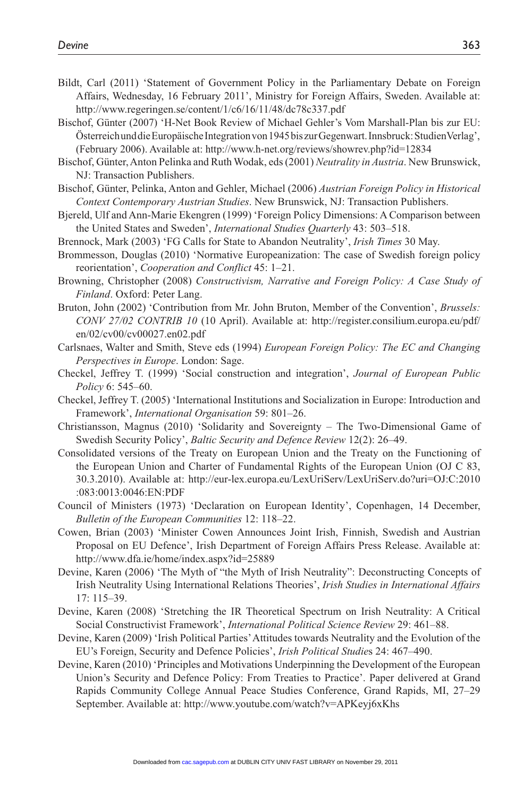- Bildt, Carl (2011) 'Statement of Government Policy in the Parliamentary Debate on Foreign Affairs, Wednesday, 16 February 2011', Ministry for Foreign Affairs, Sweden. Available at: http://www.regeringen.se/content/1/c6/16/11/48/dc78c337.pdf
- Bischof, Günter (2007) 'H-Net Book Review of Michael Gehler's Vom Marshall-Plan bis zur EU: Österreich und die Europäische Integration von 1945 bis zur Gegenwart. Innsbruck: StudienVerlag', (February 2006). Available at: http://www.h-net.org/reviews/showrev.php?id=12834
- Bischof, Günter, Anton Pelinka and Ruth Wodak, eds (2001) *Neutrality in Austria*. New Brunswick, NJ: Transaction Publishers.
- Bischof, Günter, Pelinka, Anton and Gehler, Michael (2006) *Austrian Foreign Policy in Historical Context Contemporary Austrian Studies*. New Brunswick, NJ: Transaction Publishers.
- Bjereld, Ulf and Ann-Marie Ekengren (1999) 'Foreign Policy Dimensions: A Comparison between the United States and Sweden', *International Studies Quarterly* 43: 503–518.
- Brennock, Mark (2003) 'FG Calls for State to Abandon Neutrality', *Irish Times* 30 May.
- Brommesson, Douglas (2010) 'Normative Europeanization: The case of Swedish foreign policy reorientation', *Cooperation and Conflict* 45: 1–21.
- Browning, Christopher (2008) *Constructivism, Narrative and Foreign Policy: A Case Study of Finland*. Oxford: Peter Lang.
- Bruton, John (2002) 'Contribution from Mr. John Bruton, Member of the Convention', *Brussels: CONV 27/02 CONTRIB 10* (10 April). Available at: http://register.consilium.europa.eu/pdf/ en/02/cv00/cv00027.en02.pdf
- Carlsnaes, Walter and Smith, Steve eds (1994) *European Foreign Policy: The EC and Changing Perspectives in Europe*. London: Sage.
- Checkel, Jeffrey T. (1999) 'Social construction and integration', *Journal of European Public Policy* 6: 545–60.
- Checkel, Jeffrey T. (2005) 'International Institutions and Socialization in Europe: Introduction and Framework', *International Organisation* 59: 801–26.
- Christiansson, Magnus (2010) 'Solidarity and Sovereignty The Two-Dimensional Game of Swedish Security Policy', *Baltic Security and Defence Review* 12(2): 26–49.
- Consolidated versions of the Treaty on European Union and the Treaty on the Functioning of the European Union and Charter of Fundamental Rights of the European Union (OJ C 83, 30.3.2010). Available at: http://eur-lex.europa.eu/LexUriServ/LexUriServ.do?uri=OJ:C:2010 :083:0013:0046:EN:PDF
- Council of Ministers (1973) 'Declaration on European Identity', Copenhagen, 14 December, *Bulletin of the European Communities* 12: 118–22.
- Cowen, Brian (2003) 'Minister Cowen Announces Joint Irish, Finnish, Swedish and Austrian Proposal on EU Defence', Irish Department of Foreign Affairs Press Release. Available at: http://www.dfa.ie/home/index.aspx?id=25889
- Devine, Karen (2006) 'The Myth of "the Myth of Irish Neutrality": Deconstructing Concepts of Irish Neutrality Using International Relations Theories', *Irish Studies in International Affairs* 17: 115–39.
- Devine, Karen (2008) 'Stretching the IR Theoretical Spectrum on Irish Neutrality: A Critical Social Constructivist Framework', *International Political Science Review* 29: 461–88.
- Devine, Karen (2009) 'Irish Political Parties' Attitudes towards Neutrality and the Evolution of the EU's Foreign, Security and Defence Policies', *Irish Political Studie*s 24: 467–490.
- Devine, Karen (2010) 'Principles and Motivations Underpinning the Development of the European Union's Security and Defence Policy: From Treaties to Practice'. Paper delivered at Grand Rapids Community College Annual Peace Studies Conference, Grand Rapids, MI, 27–29 September. Available at: http://www.youtube.com/watch?v=APKeyj6xKhs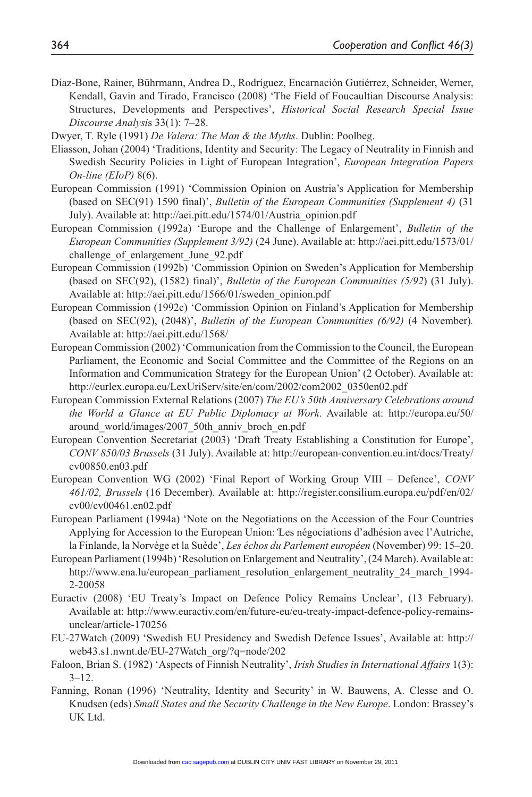- Diaz-Bone, Rainer, Bührmann, Andrea D., Rodríguez, Encarnación Gutiérrez, Schneider, Werner, Kendall, Gavin and Tirado, Francisco (2008) 'The Field of Foucaultian Discourse Analysis: Structures, Developments and Perspectives', *Historical Social Research Special Issue Discourse Analysi*s 33(1): 7–28.
- Dwyer, T. Ryle (1991) *De Valera: The Man & the Myths*. Dublin: Poolbeg.
- Eliasson, Johan (2004) 'Traditions, Identity and Security: The Legacy of Neutrality in Finnish and Swedish Security Policies in Light of European Integration', *European Integration Papers On-line (EIoP)* 8(6).
- European Commission (1991) 'Commission Opinion on Austria's Application for Membership (based on SEC(91) 1590 final)', *Bulletin of the European Communities (Supplement 4)* (31 July). Available at: http://aei.pitt.edu/1574/01/Austria\_opinion.pdf
- European Commission (1992a) 'Europe and the Challenge of Enlargement', *Bulletin of the European Communities (Supplement 3/92)* (24 June). Available at: http://aei.pitt.edu/1573/01/ challenge of enlargement June 92.pdf
- European Commission (1992b) 'Commission Opinion on Sweden's Application for Membership (based on SEC(92), (1582) final)', *Bulletin of the European Communities (5/92*) (31 July). Available at: http://aei.pitt.edu/1566/01/sweden\_opinion.pdf
- European Commission (1992c) 'Commission Opinion on Finland's Application for Membership (based on SEC(92), (2048)', *Bulletin of the European Communities (6/92)* (4 November)*.* Available at: http://aei.pitt.edu/1568/
- European Commission (2002) 'Communication from the Commission to the Council, the European Parliament, the Economic and Social Committee and the Committee of the Regions on an Information and Communication Strategy for the European Union' (2 October). Available at: http://eurlex.europa.eu/LexUriServ/site/en/com/2002/com2002\_0350en02.pdf
- European Commission External Relations (2007) *The EU's 50th Anniversary Celebrations around the World a Glance at EU Public Diplomacy at Work*. Available at: http://europa.eu/50/ around\_world/images/2007\_50th\_anniv\_broch\_en.pdf
- European Convention Secretariat (2003) 'Draft Treaty Establishing a Constitution for Europe', *CONV 850/03 Brussels* (31 July). Available at: http://european-convention.eu.int/docs/Treaty/ cv00850.en03.pdf
- European Convention WG (2002) 'Final Report of Working Group VIII Defence', *CONV 461/02, Brussels* (16 December). Available at: http://register.consilium.europa.eu/pdf/en/02/ cv00/cv00461.en02.pdf
- European Parliament (1994a) 'Note on the Negotiations on the Accession of the Four Countries Applying for Accession to the European Union:*'*Les négociations d'adhésion avec l'Autriche, la Finlande, la Norvège et la Suède', *Les échos du Parlement européen* (November) 99: 15–20.
- European Parliament (1994b) 'Resolution on Enlargement and Neutrality', (24 March). Available at: http://www.ena.lu/european\_parliament\_resolution\_enlargement\_neutrality\_24\_march\_1994-2-20058
- Euractiv (2008) 'EU Treaty's Impact on Defence Policy Remains Unclear', (13 February). Available at: http://www.euractiv.com/en/future-eu/eu-treaty-impact-defence-policy-remainsunclear/article-170256
- EU-27Watch (2009) 'Swedish EU Presidency and Swedish Defence Issues', Available at: http:// web43.s1.nwnt.de/EU-27Watch\_org/?q=node/202
- Faloon, Brian S. (1982) 'Aspects of Finnish Neutrality', *Irish Studies in International Affairs* 1(3):  $3 - 12$ .
- Fanning, Ronan (1996) 'Neutrality, Identity and Security' in W. Bauwens, A. Clesse and O. Knudsen (eds) *Small States and the Security Challenge in the New Europe*. London: Brassey's UK Ltd.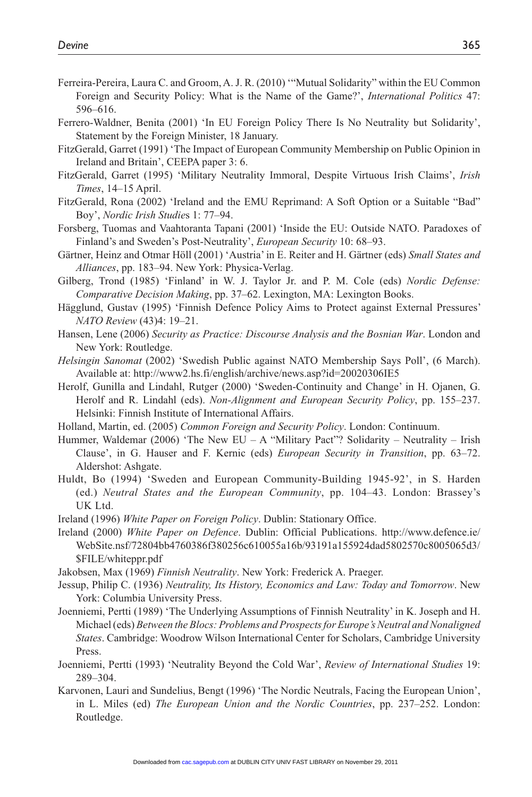- Ferreira-Pereira, Laura C. and Groom, A. J. R. (2010) '"Mutual Solidarity" within the EU Common Foreign and Security Policy: What is the Name of the Game?', *International Politics* 47: 596–616.
- Ferrero-Waldner, Benita (2001) 'In EU Foreign Policy There Is No Neutrality but Solidarity', Statement by the Foreign Minister, 18 January.
- FitzGerald, Garret (1991) 'The Impact of European Community Membership on Public Opinion in Ireland and Britain', CEEPA paper 3: 6.
- FitzGerald, Garret (1995) 'Military Neutrality Immoral, Despite Virtuous Irish Claims', *Irish Times*, 14–15 April.
- FitzGerald, Rona (2002) 'Ireland and the EMU Reprimand: A Soft Option or a Suitable "Bad" Boy', *Nordic Irish Studie*s 1: 77–94.
- Forsberg, Tuomas and Vaahtoranta Tapani (2001) 'Inside the EU: Outside NATO. Paradoxes of Finland's and Sweden's Post-Neutrality', *European Security* 10: 68–93.
- Gärtner, Heinz and Otmar Höll (2001) 'Austria' in E. Reiter and H. Gärtner (eds) *Small States and Alliances*, pp. 183–94. New York: Physica-Verlag.
- Gilberg, Trond (1985) 'Finland' in W. J. Taylor Jr. and P. M. Cole (eds) *Nordic Defense: Comparative Decision Making*, pp. 37–62. Lexington, MA: Lexington Books.
- Hägglund, Gustav (1995) 'Finnish Defence Policy Aims to Protect against External Pressures' *NATO Review* (43)4: 19–21.
- Hansen, Lene (2006) *Security as Practice: Discourse Analysis and the Bosnian War*. London and New York: Routledge.
- *Helsingin Sanomat* (2002) 'Swedish Public against NATO Membership Says Poll', (6 March). Available at: http://www2.hs.fi/english/archive/news.asp?id=20020306IE5
- Herolf, Gunilla and Lindahl, Rutger (2000) 'Sweden-Continuity and Change' in H. Ojanen, G. Herolf and R. Lindahl (eds). *Non-Alignment and European Security Policy*, pp. 155–237. Helsinki: Finnish Institute of International Affairs.
- Holland, Martin, ed. (2005) *Common Foreign and Security Policy*. London: Continuum.
- Hummer, Waldemar (2006) 'The New EU A "Military Pact"? Solidarity Neutrality Irish Clause', in G. Hauser and F. Kernic (eds) *European Security in Transition*, pp. 63–72. Aldershot: Ashgate.
- Huldt, Bo (1994) 'Sweden and European Community-Building 1945-92', in S. Harden (ed.) *Neutral States and the European Community*, pp. 104–43. London: Brassey's UK Ltd.
- Ireland (1996) *White Paper on Foreign Policy*. Dublin: Stationary Office.
- Ireland (2000) *White Paper on Defence*. Dublin: Official Publications. http://www.defence.ie/ WebSite.nsf/72804bb4760386f380256c610055a16b/93191a155924dad5802570c8005065d3/ \$FILE/whiteppr.pdf
- Jakobsen, Max (1969) *Finnish Neutrality*. New York: Frederick A. Praeger.
- Jessup, Philip C. (1936) *Neutrality, Its History, Economics and Law: Today and Tomorrow*. New York: Columbia University Press.
- Joenniemi, Pertti (1989) 'The Underlying Assumptions of Finnish Neutrality' in K. Joseph and H. Michael (eds) *Between the Blocs: Problems and Prospects for Europe's Neutral and Nonaligned States*. Cambridge: Woodrow Wilson International Center for Scholars, Cambridge University Press.
- Joenniemi, Pertti (1993) 'Neutrality Beyond the Cold War', *Review of International Studies* 19: 289–304.
- Karvonen, Lauri and Sundelius, Bengt (1996) 'The Nordic Neutrals, Facing the European Union', in L. Miles (ed) *The European Union and the Nordic Countries*, pp. 237–252. London: Routledge.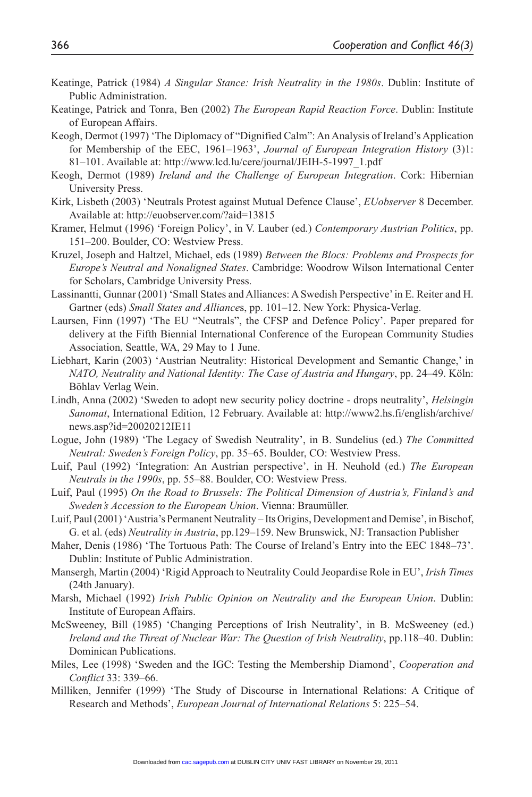- Keatinge, Patrick (1984) *A Singular Stance: Irish Neutrality in the 1980s*. Dublin: Institute of Public Administration.
- Keatinge, Patrick and Tonra, Ben (2002) *The European Rapid Reaction Force*. Dublin: Institute of European Affairs.
- Keogh, Dermot (1997) 'The Diplomacy of "Dignified Calm": An Analysis of Ireland's Application for Membership of the EEC, 1961–1963', *Journal of European Integration History* (3)1: 81–101. Available at: http://www.lcd.lu/cere/journal/JEIH-5-1997\_1.pdf
- Keogh, Dermot (1989) *Ireland and the Challenge of European Integration*. Cork: Hibernian University Press.
- Kirk, Lisbeth (2003) 'Neutrals Protest against Mutual Defence Clause', *EUobserver* 8 December. Available at: http://euobserver.com/?aid=13815
- Kramer, Helmut (1996) 'Foreign Policy', in V. Lauber (ed.) *Contemporary Austrian Politics*, pp. 151–200. Boulder, CO: Westview Press.
- Kruzel, Joseph and Haltzel, Michael, eds (1989) *Between the Blocs: Problems and Prospects for Europe's Neutral and Nonaligned States*. Cambridge: Woodrow Wilson International Center for Scholars, Cambridge University Press.
- Lassinantti, Gunnar (2001) 'Small States and Alliances: A Swedish Perspective' in E. Reiter and H. Gartner (eds) *Small States and Alliance*s, pp. 101–12. New York: Physica-Verlag.
- Laursen, Finn (1997) 'The EU "Neutrals", the CFSP and Defence Policy'. Paper prepared for delivery at the Fifth Biennial International Conference of the European Community Studies Association, Seattle, WA, 29 May to 1 June.
- Liebhart, Karin (2003) 'Austrian Neutrality: Historical Development and Semantic Change,' in *NATO, Neutrality and National Identity: The Case of Austria and Hungary*, pp. 24–49. Köln: Böhlav Verlag Wein.
- Lindh, Anna (2002) 'Sweden to adopt new security policy doctrine drops neutrality', *Helsingin Sanomat*, International Edition, 12 February. Available at: http://www2.hs.fi/english/archive/ news.asp?id=20020212IE11
- Logue, John (1989) 'The Legacy of Swedish Neutrality', in B. Sundelius (ed.) *The Committed Neutral: Sweden's Foreign Policy*, pp. 35–65. Boulder, CO: Westview Press.
- Luif, Paul (1992) 'Integration: An Austrian perspective', in H. Neuhold (ed.) *The European Neutrals in the 1990s*, pp. 55–88. Boulder, CO: Westview Press.
- Luif, Paul (1995) *On the Road to Brussels: The Political Dimension of Austria's, Finland's and Sweden's Accession to the European Union*. Vienna: Braumüller.
- Luif, Paul (2001) 'Austria's Permanent Neutrality Its Origins, Development and Demise', in Bischof, G. et al. (eds) *Neutrality in Austria*, pp.129–159. New Brunswick, NJ: Transaction Publisher
- Maher, Denis (1986) 'The Tortuous Path: The Course of Ireland's Entry into the EEC 1848–73'. Dublin: Institute of Public Administration.
- Mansergh, Martin (2004) 'Rigid Approach to Neutrality Could Jeopardise Role in EU', *Irish Times*  (24th January).
- Marsh, Michael (1992) *Irish Public Opinion on Neutrality and the European Union*. Dublin: Institute of European Affairs.
- McSweeney, Bill (1985) 'Changing Perceptions of Irish Neutrality', in B. McSweeney (ed.) *Ireland and the Threat of Nuclear War: The Question of Irish Neutrality*, pp.118–40. Dublin: Dominican Publications.
- Miles, Lee (1998) 'Sweden and the IGC: Testing the Membership Diamond', *Cooperation and Conflict* 33: 339–66.
- Milliken, Jennifer (1999) 'The Study of Discourse in International Relations: A Critique of Research and Methods', *European Journal of International Relations* 5: 225–54.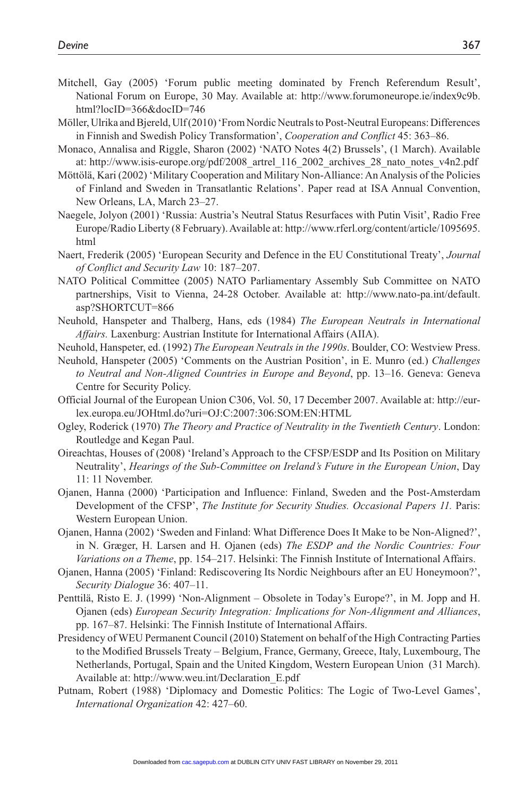- Mitchell, Gay (2005) 'Forum public meeting dominated by French Referendum Result', National Forum on Europe, 30 May. Available at: http://www.forumoneurope.ie/index9c9b. html?locID=366&docID=746
- Möller, Ulrika and Bjereld, Ulf (2010) 'From Nordic Neutrals to Post-Neutral Europeans: Differences in Finnish and Swedish Policy Transformation', *Cooperation and Conflict* 45: 363–86.
- Monaco, Annalisa and Riggle, Sharon (2002) 'NATO Notes 4(2) Brussels', (1 March). Available at: http://www.isis-europe.org/pdf/2008\_artrel\_116\_2002\_archives\_28\_nato\_notes\_v4n2.pdf
- Möttölä, Kari (2002) 'Military Cooperation and Military Non-Alliance: An Analysis of the Policies of Finland and Sweden in Transatlantic Relations'. Paper read at ISA Annual Convention, New Orleans, LA, March 23–27.
- Naegele, Jolyon (2001) 'Russia: Austria's Neutral Status Resurfaces with Putin Visit', Radio Free Europe/Radio Liberty (8 February). Available at: http://www.rferl.org/content/article/1095695. html
- Naert, Frederik (2005) 'European Security and Defence in the EU Constitutional Treaty', *Journal of Conflict and Security Law* 10: 187–207.
- NATO Political Committee (2005) NATO Parliamentary Assembly Sub Committee on NATO partnerships, Visit to Vienna, 24-28 October. Available at: http://www.nato-pa.int/default. asp?SHORTCUT=866
- Neuhold, Hanspeter and Thalberg, Hans, eds (1984) *The European Neutrals in International Affairs.* Laxenburg: Austrian Institute for International Affairs (AIIA).
- Neuhold, Hanspeter, ed. (1992) *The European Neutrals in the 1990s*. Boulder, CO: Westview Press.
- Neuhold, Hanspeter (2005) 'Comments on the Austrian Position', in E. Munro (ed.) *Challenges to Neutral and Non-Aligned Countries in Europe and Beyond*, pp. 13–16. Geneva: Geneva Centre for Security Policy.
- Official Journal of the European Union C306, Vol. 50, 17 December 2007. Available at: http://eurlex.europa.eu/JOHtml.do?uri=OJ:C:2007:306:SOM:EN:HTML
- Ogley, Roderick (1970) *The Theory and Practice of Neutrality in the Twentieth Century*. London: Routledge and Kegan Paul.
- Oireachtas, Houses of (2008) 'Ireland's Approach to the CFSP/ESDP and Its Position on Military Neutrality', *Hearings of the Sub-Committee on Ireland's Future in the European Union*, Day 11: 11 November.
- Ojanen, Hanna (2000) 'Participation and Influence: Finland, Sweden and the Post-Amsterdam Development of the CFSP', *The Institute for Security Studies. Occasional Papers 11.* Paris: Western European Union.
- Ojanen, Hanna (2002) 'Sweden and Finland: What Difference Does It Make to be Non-Aligned?', in N. Græger, H. Larsen and H. Ojanen (eds) *The ESDP and the Nordic Countries: Four Variations on a Theme*, pp. 154–217. Helsinki: The Finnish Institute of International Affairs.
- Ojanen, Hanna (2005) 'Finland: Rediscovering Its Nordic Neighbours after an EU Honeymoon?', *Security Dialogue* 36: 407–11.
- Penttilä, Risto E. J. (1999) 'Non-Alignment Obsolete in Today's Europe?', in M. Jopp and H. Ojanen (eds) *European Security Integration: Implications for Non-Alignment and Alliances*, pp. 167–87. Helsinki: The Finnish Institute of International Affairs.
- Presidency of WEU Permanent Council (2010) Statement on behalf of the High Contracting Parties to the Modified Brussels Treaty – Belgium, France, Germany, Greece, Italy, Luxembourg, The Netherlands, Portugal, Spain and the United Kingdom, Western European Union (31 March). Available at: http://www.weu.int/Declaration\_E.pdf
- Putnam, Robert (1988) 'Diplomacy and Domestic Politics: The Logic of Two-Level Games', *International Organization* 42: 427–60.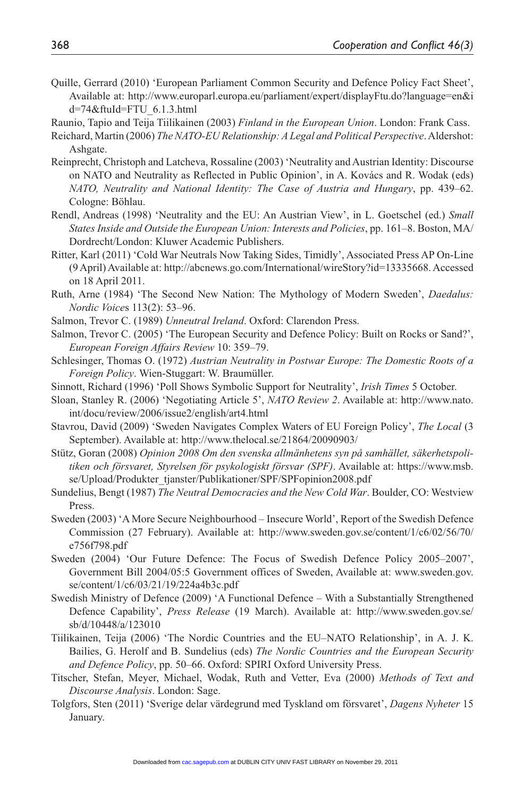Quille, Gerrard (2010) 'European Parliament Common Security and Defence Policy Fact Sheet', Available at: http://www.europarl.europa.eu/parliament/expert/displayFtu.do?language=en&i d=74&ftuId=FTU\_6.1.3.html

Raunio, Tapio and Teija Tiilikainen (2003) *Finland in the European Union*. London: Frank Cass.

- Reichard, Martin (2006) *The NATO-EU Relationship: A Legal and Political Perspective*. Aldershot: Ashgate.
- Reinprecht, Christoph and Latcheva, Rossaline (2003) 'Neutrality and Austrian Identity: Discourse on NATO and Neutrality as Reflected in Public Opinion', in A. Kovács and R. Wodak (eds) *NATO, Neutrality and National Identity: The Case of Austria and Hungary*, pp. 439–62. Cologne: Böhlau.
- Rendl, Andreas (1998) 'Neutrality and the EU: An Austrian View', in L. Goetschel (ed.) *Small States Inside and Outside the European Union: Interests and Policies*, pp. 161–8. Boston, MA/ Dordrecht/London: Kluwer Academic Publishers.
- Ritter, Karl (2011) 'Cold War Neutrals Now Taking Sides, Timidly', Associated Press AP On-Line (9 April) Available at: http://abcnews.go.com/International/wireStory?id=13335668. Accessed on 18 April 2011.
- Ruth, Arne (1984) 'The Second New Nation: The Mythology of Modern Sweden', *Daedalus: Nordic Voice*s 113(2): 53–96.
- Salmon, Trevor C. (1989) *Unneutral Ireland*. Oxford: Clarendon Press.
- Salmon, Trevor C. (2005) 'The European Security and Defence Policy: Built on Rocks or Sand?', *European Foreign Affairs Review* 10: 359–79.
- Schlesinger, Thomas O. (1972) *Austrian Neutrality in Postwar Europe: The Domestic Roots of a Foreign Policy*. Wien-Stuggart: W. Braumüller.
- Sinnott, Richard (1996) 'Poll Shows Symbolic Support for Neutrality', *Irish Times* 5 October.
- Sloan, Stanley R. (2006) 'Negotiating Article 5', *NATO Review 2*. Available at: http://www.nato. int/docu/review/2006/issue2/english/art4.html
- Stavrou, David (2009) 'Sweden Navigates Complex Waters of EU Foreign Policy', *The Local* (3 September). Available at: http://www.thelocal.se/21864/20090903/
- Stütz, Goran (2008) *Opinion 2008 Om den svenska allmänhetens syn på samhället, säkerhetspolitiken och försvaret, Styrelsen för psykologiskt försvar (SPF)*. Available at: https://www.msb. se/Upload/Produkter\_tjanster/Publikationer/SPF/SPFopinion2008.pdf
- Sundelius, Bengt (1987) *The Neutral Democracies and the New Cold War*. Boulder, CO: Westview Press.
- Sweden (2003) 'A More Secure Neighbourhood Insecure World', Report of the Swedish Defence Commission (27 February). Available at: http://www.sweden.gov.se/content/1/c6/02/56/70/ e756f798.pdf
- Sweden (2004) 'Our Future Defence: The Focus of Swedish Defence Policy 2005–2007', Government Bill 2004/05:5 Government offices of Sweden, Available at: www.sweden.gov. se/content/1/c6/03/21/19/224a4b3c.pdf
- Swedish Ministry of Defence (2009) 'A Functional Defence With a Substantially Strengthened Defence Capability', *Press Release* (19 March). Available at: http://www.sweden.gov.se/ sb/d/10448/a/123010
- Tiilikainen, Teija (2006) 'The Nordic Countries and the EU–NATO Relationship', in A. J. K. Bailies, G. Herolf and B. Sundelius (eds) *The Nordic Countries and the European Security and Defence Policy*, pp. 50–66. Oxford: SPIRI Oxford University Press.
- Titscher, Stefan, Meyer, Michael, Wodak, Ruth and Vetter, Eva (2000) *Methods of Text and Discourse Analysis*. London: Sage.
- Tolgfors, Sten (2011) 'Sverige delar värdegrund med Tyskland om försvaret', *Dagens Nyheter* 15 January.